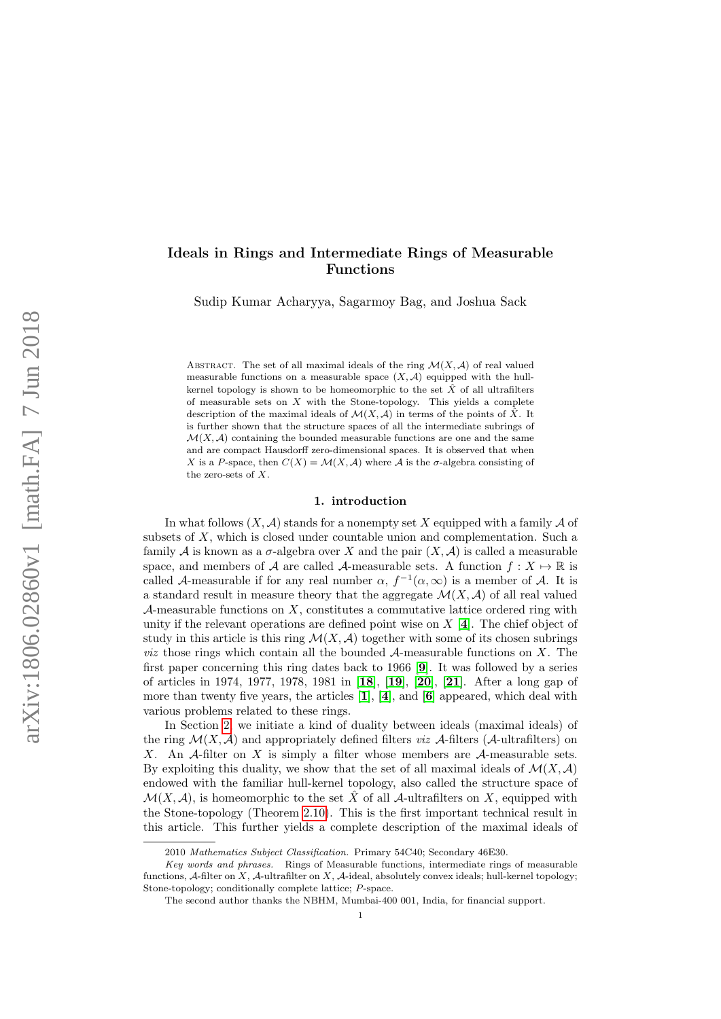# Ideals in Rings and Intermediate Rings of Measurable Functions

Sudip Kumar Acharyya, Sagarmoy Bag, and Joshua Sack

ABSTRACT. The set of all maximal ideals of the ring  $\mathcal{M}(X,\mathcal{A})$  of real valued measurable functions on a measurable space  $(X, \mathcal{A})$  equipped with the hullkernel topology is shown to be homeomorphic to the set  $\hat{X}$  of all ultrafilters of measurable sets on  $X$  with the Stone-topology. This yields a complete description of the maximal ideals of  $\mathcal{M}(X,\mathcal{A})$  in terms of the points of  $\hat{X}$ . It is further shown that the structure spaces of all the intermediate subrings of  $\mathcal{M}(X, \mathcal{A})$  containing the bounded measurable functions are one and the same and are compact Hausdorff zero-dimensional spaces. It is observed that when X is a P-space, then  $C(X) = \mathcal{M}(X, \mathcal{A})$  where A is the  $\sigma$ -algebra consisting of the zero-sets of X.

## 1. introduction

In what follows  $(X, \mathcal{A})$  stands for a nonempty set X equipped with a family  $\mathcal A$  of subsets of  $X$ , which is closed under countable union and complementation. Such a family A is known as a  $\sigma$ -algebra over X and the pair  $(X, \mathcal{A})$  is called a measurable space, and members of A are called A-measurable sets. A function  $f: X \mapsto \mathbb{R}$  is called A-measurable if for any real number  $\alpha$ ,  $f^{-1}(\alpha,\infty)$  is a member of A. It is a standard result in measure theory that the aggregate  $\mathcal{M}(X, \mathcal{A})$  of all real valued A-measurable functions on  $X$ , constitutes a commutative lattice ordered ring with unity if the relevant operations are defined point wise on  $X[\mathbf{4}]$  $X[\mathbf{4}]$  $X[\mathbf{4}]$ . The chief object of study in this article is this ring  $\mathcal{M}(X,\mathcal{A})$  together with some of its chosen subrings *viz* those rings which contain all the bounded  $A$ -measurable functions on  $X$ . The first paper concerning this ring dates back to 1966 [[9](#page-13-1)]. It was followed by a series of articles in 1974, 1977, 1978, 1981 in [[18](#page-14-0)], [[19](#page-14-1)], [[20](#page-14-2)], [[21](#page-14-3)]. After a long gap of more than twenty five years, the articles  $[1]$  $[1]$  $[1]$ ,  $[4]$  $[4]$  $[4]$ , and  $[6]$  $[6]$  $[6]$  appeared, which deal with various problems related to these rings.

In Section [2,](#page-1-0) we initiate a kind of duality between ideals (maximal ideals) of the ring  $\mathcal{M}(X,\mathcal{A})$  and appropriately defined filters *viz*  $\mathcal{A}\text{-filters}$  ( $\mathcal{A}\text{-ultraffiters}$ ) on X. An A-filter on X is simply a filter whose members are A-measurable sets. By exploiting this duality, we show that the set of all maximal ideals of  $\mathcal{M}(X,\mathcal{A})$ endowed with the familiar hull-kernel topology, also called the structure space of  $\mathcal{M}(X,\mathcal{A})$ , is homeomorphic to the set X of all  $\mathcal{A}$ -ultrafilters on X, equipped with the Stone-topology (Theorem [2.10\)](#page-4-0). This is the first important technical result in this article. This further yields a complete description of the maximal ideals of

<sup>2010</sup> Mathematics Subject Classification. Primary 54C40; Secondary 46E30.

Key words and phrases. Rings of Measurable functions, intermediate rings of measurable functions, A-filter on X, A-ultrafilter on X, A-ideal, absolutely convex ideals; hull-kernel topology; Stone-topology; conditionally complete lattice; P-space.

The second author thanks the NBHM, Mumbai-400 001, India, for financial support.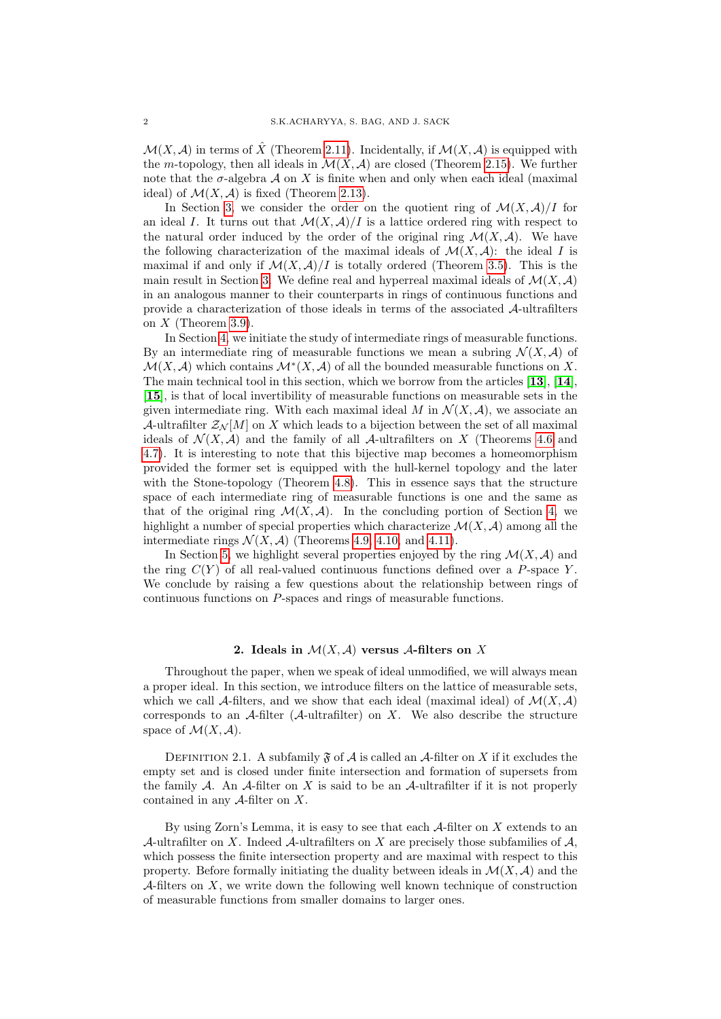$\mathcal{M}(X,\mathcal{A})$  in terms of  $\hat{X}$  (Theorem [2.11\)](#page-4-1). Incidentally, if  $\mathcal{M}(X,\mathcal{A})$  is equipped with the m-topology, then all ideals in  $\mathcal{M}(X, \mathcal{A})$  are closed (Theorem [2.15\)](#page-5-0). We further note that the  $\sigma$ -algebra  $\mathcal A$  on X is finite when and only when each ideal (maximal ideal) of  $\mathcal{M}(X, \mathcal{A})$  is fixed (Theorem [2.13\)](#page-4-2).

In Section [3,](#page-6-0) we consider the order on the quotient ring of  $\mathcal{M}(X, \mathcal{A})/I$  for an ideal I. It turns out that  $\mathcal{M}(X,\mathcal{A})/I$  is a lattice ordered ring with respect to the natural order induced by the order of the original ring  $\mathcal{M}(X,\mathcal{A})$ . We have the following characterization of the maximal ideals of  $\mathcal{M}(X,\mathcal{A})$ : the ideal I is maximal if and only if  $\mathcal{M}(X,\mathcal{A})/I$  is totally ordered (Theorem [3.5\)](#page-7-0). This is the main result in Section [3.](#page-6-0) We define real and hyperreal maximal ideals of  $\mathcal{M}(X,\mathcal{A})$ in an analogous manner to their counterparts in rings of continuous functions and provide a characterization of those ideals in terms of the associated A-ultrafilters on  $X$  (Theorem [3.9\)](#page-8-0).

In Section [4,](#page-9-0) we initiate the study of intermediate rings of measurable functions. By an intermediate ring of measurable functions we mean a subring  $\mathcal{N}(X,\mathcal{A})$  of  $\mathcal{M}(X,\mathcal{A})$  which contains  $\mathcal{M}^*(X,\mathcal{A})$  of all the bounded measurable functions on X. The main technical tool in this section, which we borrow from the articles  $[13]$  $[13]$  $[13]$ ,  $[14]$  $[14]$  $[14]$ . [[15](#page-13-6)], is that of local invertibility of measurable functions on measurable sets in the given intermediate ring. With each maximal ideal M in  $\mathcal{N}(X,\mathcal{A})$ , we associate an A-ultrafilter  $\mathcal{Z}_{\mathcal{N}}[M]$  on X which leads to a bijection between the set of all maximal ideals of  $\mathcal{N}(X,\mathcal{A})$  and the family of all  $\mathcal{A}\text{-ultrafilters on }X$  (Theorems [4.6](#page-10-0) and [4.7\)](#page-10-1). It is interesting to note that this bijective map becomes a homeomorphism provided the former set is equipped with the hull-kernel topology and the later with the Stone-topology (Theorem [4.8\)](#page-10-2). This in essence says that the structure space of each intermediate ring of measurable functions is one and the same as that of the original ring  $\mathcal{M}(X,\mathcal{A})$ . In the concluding portion of Section [4,](#page-9-0) we highlight a number of special properties which characterize  $\mathcal{M}(X,\mathcal{A})$  among all the intermediate rings  $\mathcal{N}(X, \mathcal{A})$  (Theorems [4.9,](#page-11-0) [4.10,](#page-11-1) and [4.11\)](#page-11-2).

In Section [5,](#page-12-0) we highlight several properties enjoyed by the ring  $\mathcal{M}(X,\mathcal{A})$  and the ring  $C(Y)$  of all real-valued continuous functions defined over a P-space Y. We conclude by raising a few questions about the relationship between rings of continuous functions on P-spaces and rings of measurable functions.

### 2. Ideals in  $\mathcal{M}(X,\mathcal{A})$  versus A-filters on X

<span id="page-1-0"></span>Throughout the paper, when we speak of ideal unmodified, we will always mean a proper ideal. In this section, we introduce filters on the lattice of measurable sets, which we call A-filters, and we show that each ideal (maximal ideal) of  $\mathcal{M}(X,\mathcal{A})$ corresponds to an  $A$ -filter ( $A$ -ultrafilter) on X. We also describe the structure space of  $\mathcal{M}(X,\mathcal{A})$ .

DEFINITION 2.1. A subfamily  $\mathfrak F$  of A is called an A-filter on X if it excludes the empty set and is closed under finite intersection and formation of supersets from the family  $A$ . An  $A$ -filter on  $X$  is said to be an  $A$ -ultrafilter if it is not properly contained in any  $A$ -filter on X.

By using Zorn's Lemma, it is easy to see that each  $A$ -filter on X extends to an A-ultrafilter on X. Indeed A-ultrafilters on X are precisely those subfamilies of A. which possess the finite intersection property and are maximal with respect to this property. Before formally initiating the duality between ideals in  $\mathcal{M}(X,\mathcal{A})$  and the A-filters on X, we write down the following well known technique of construction of measurable functions from smaller domains to larger ones.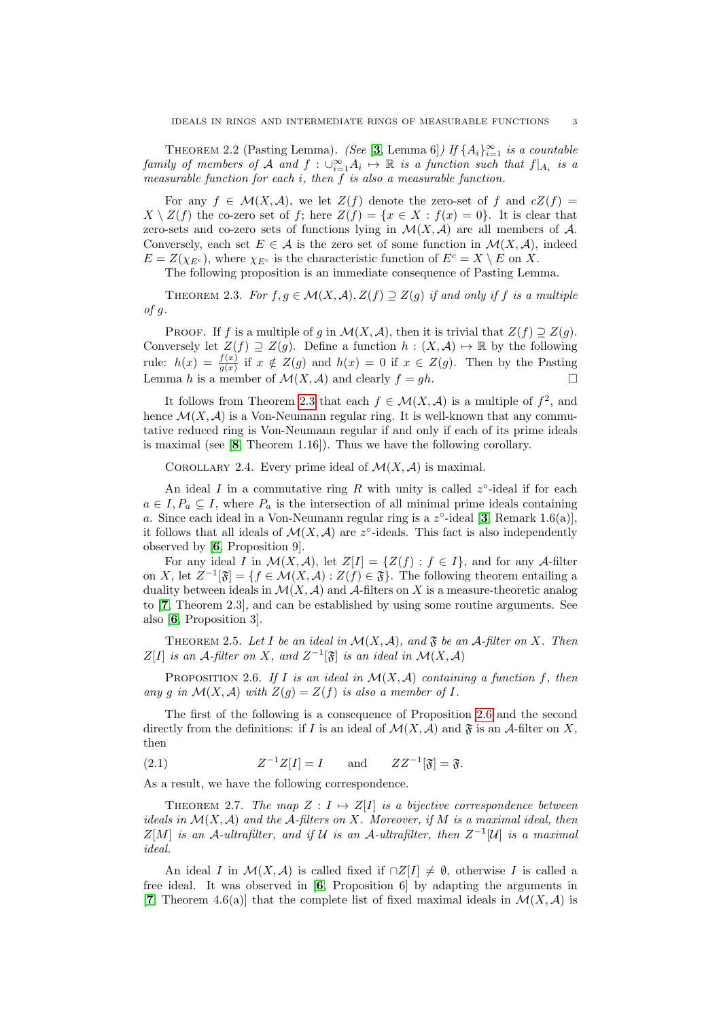<span id="page-2-5"></span>THEOREM 2.2 (Pasting Lemma). (See [[3](#page-13-7), Lemma 6]) If  $\{A_i\}_{i=1}^{\infty}$  is a countable family of members of A and  $f: \bigcup_{i=1}^{\infty} A_i \mapsto \mathbb{R}$  is a function such that  $f|_{A_i}$  is a measurable function for each i, then f is also a measurable function.

For any  $f \in \mathcal{M}(X,\mathcal{A})$ , we let  $Z(f)$  denote the zero-set of f and  $cZ(f)$  $X \setminus Z(f)$  the co-zero set of f; here  $Z(f) = \{x \in X : f(x) = 0\}$ . It is clear that zero-sets and co-zero sets of functions lying in  $\mathcal{M}(X,\mathcal{A})$  are all members of  $\mathcal{A}$ . Conversely, each set  $E \in \mathcal{A}$  is the zero set of some function in  $\mathcal{M}(X, \mathcal{A})$ , indeed  $E = Z(\chi_{E^c})$ , where  $\chi_{E^c}$  is the characteristic function of  $E^c = X \setminus E$  on X.

The following proposition is an immediate consequence of Pasting Lemma.

<span id="page-2-0"></span>THEOREM 2.3. For  $f, g \in \mathcal{M}(X, \mathcal{A}), Z(f) \supseteq Z(g)$  if and only if f is a multiple  $of g.$ 

PROOF. If f is a multiple of g in  $\mathcal{M}(X, \mathcal{A})$ , then it is trivial that  $Z(f) \supseteq Z(g)$ . Conversely let  $Z(f) \supseteq Z(g)$ . Define a function  $h : (X, \mathcal{A}) \mapsto \mathbb{R}$  by the following rule:  $h(x) = \frac{f(x)}{g(x)}$  if  $x \notin Z(g)$  and  $h(x) = 0$  if  $x \in Z(g)$ . Then by the Pasting Lemma h is a member of  $\mathcal{M}(X, \mathcal{A})$  and clearly  $f = gh$ .

It follows from Theorem [2.3](#page-2-0) that each  $f \in \mathcal{M}(X,\mathcal{A})$  is a multiple of  $f^2$ , and hence  $\mathcal{M}(X, \mathcal{A})$  is a Von-Neumann regular ring. It is well-known that any commutative reduced ring is Von-Neumann regular if and only if each of its prime ideals is maximal (see [[8](#page-13-8), Theorem 1.16]). Thus we have the following corollary.

<span id="page-2-2"></span>COROLLARY 2.4. Every prime ideal of  $\mathcal{M}(X,\mathcal{A})$  is maximal.

An ideal I in a commutative ring R with unity is called  $z^{\circ}$ -ideal if for each  $a \in I, P_a \subseteq I$ , where  $P_a$  is the intersection of all minimal prime ideals containing a. Since each ideal in a Von-Neumann regular ring is a  $z^{\circ}$ -ideal [[3](#page-13-7), Remark 1.6(a)], it follows that all ideals of  $\mathcal{M}(X,\mathcal{A})$  are z°-ideals. This fact is also independently observed by [[6](#page-13-3), Proposition 9].

For any ideal I in  $\mathcal{M}(X,\mathcal{A})$ , let  $Z[I] = \{Z(f) : f \in I\}$ , and for any A-filter on X, let  $Z^{-1}[\mathfrak{F}] = \{f \in \mathcal{M}(X,\mathcal{A}) : Z(f) \in \mathfrak{F}\}.$  The following theorem entailing a duality between ideals in  $\mathcal{M}(X,\mathcal{A})$  and  $\mathcal{A}$ -filters on X is a measure-theoretic analog to [[7](#page-13-9), Theorem 2.3], and can be established by using some routine arguments. See also [[6](#page-13-3), Proposition 3].

<span id="page-2-4"></span>THEOREM 2.5. Let I be an ideal in  $\mathcal{M}(X, \mathcal{A})$ , and  $\mathfrak{F}$  be an  $\mathcal{A}\text{-filter on }X$ . Then  $Z[I]$  is an A-filter on X, and  $Z^{-1}[\mathfrak{F}]$  is an ideal in  $\mathcal{M}(X,\mathcal{A})$ 

<span id="page-2-1"></span>PROPOSITION 2.6. If I is an ideal in  $\mathcal{M}(X,\mathcal{A})$  containing a function f, then any q in  $\mathcal{M}(X, \mathcal{A})$  with  $Z(q) = Z(f)$  is also a member of I.

The first of the following is a consequence of Proposition [2.6](#page-2-1) and the second directly from the definitions: if I is an ideal of  $\mathcal{M}(X,\mathcal{A})$  and  $\mathfrak{F}$  is an  $\mathcal{A}\text{-filter}$  on X, then

<span id="page-2-6"></span> $(2.1)$  $ZZ^{-1}[\mathfrak{F}] = \mathfrak{F}.$  and  $ZZ^{-1}[\mathfrak{F}] = \mathfrak{F}.$ 

As a result, we have the following correspondence.

<span id="page-2-3"></span>THEOREM 2.7. The map  $Z : I \mapsto Z[I]$  is a bijective correspondence between ideals in  $\mathcal{M}(X, \mathcal{A})$  and the A-filters on X. Moreover, if M is a maximal ideal, then  $Z[M]$  is an A-ultrafilter, and if U is an A-ultrafilter, then  $Z^{-1}[U]$  is a maximal ideal.

An ideal I in  $\mathcal{M}(X,\mathcal{A})$  is called fixed if  $\cap Z[I] \neq \emptyset$ , otherwise I is called a free ideal. It was observed in [[6](#page-13-3), Proposition 6] by adapting the arguments in [[7](#page-13-9), Theorem 4.6(a)] that the complete list of fixed maximal ideals in  $\mathcal{M}(X,\mathcal{A})$  is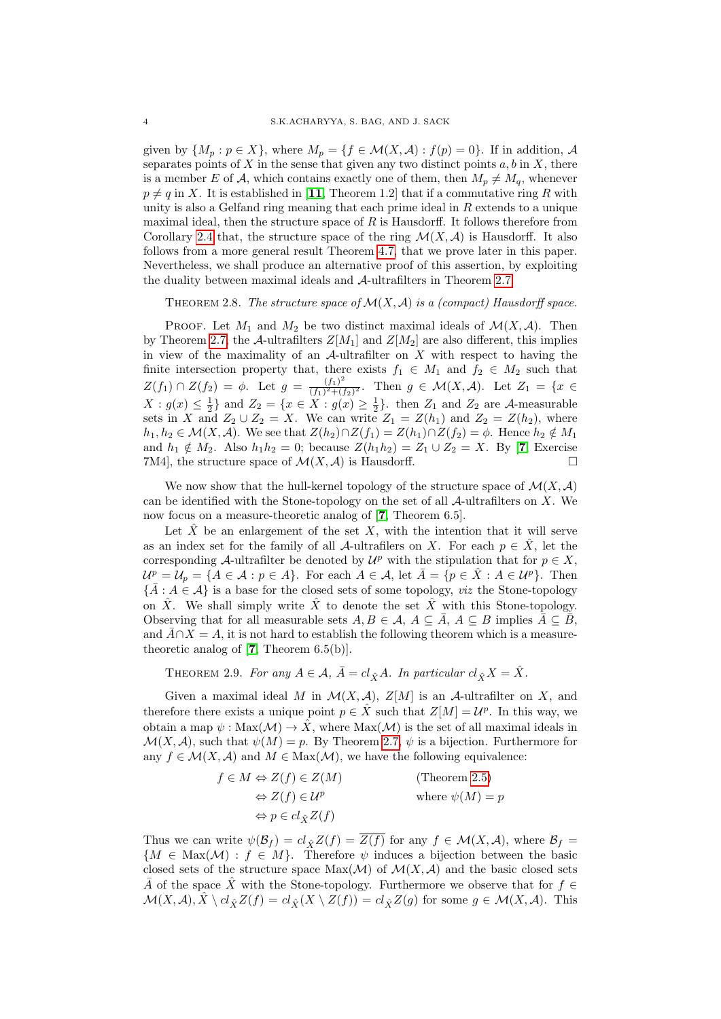given by  $\{M_p : p \in X\}$ , where  $M_p = \{f \in \mathcal{M}(X,\mathcal{A}) : f(p) = 0\}$ . If in addition,  $\mathcal A$ separates points of  $X$  in the sense that given any two distinct points  $a, b$  in  $X$ , there is a member E of A, which contains exactly one of them, then  $M_p \neq M_q$ , whenever  $p \neq q$  in X. It is established in [[11](#page-13-10), Theorem 1.2] that if a commutative ring R with unity is also a Gelfand ring meaning that each prime ideal in  $R$  extends to a unique maximal ideal, then the structure space of  $R$  is Hausdorff. It follows therefore from Corollary [2.4](#page-2-2) that, the structure space of the ring  $\mathcal{M}(X,\mathcal{A})$  is Hausdorff. It also follows from a more general result Theorem [4.7,](#page-10-1) that we prove later in this paper. Nevertheless, we shall produce an alternative proof of this assertion, by exploiting the duality between maximal ideals and A-ultrafilters in Theorem [2.7.](#page-2-3)

<span id="page-3-0"></span>THEOREM 2.8. The structure space of  $\mathcal{M}(X, \mathcal{A})$  is a (compact) Hausdorff space.

PROOF. Let  $M_1$  and  $M_2$  be two distinct maximal ideals of  $\mathcal{M}(X,\mathcal{A})$ . Then by Theorem [2.7,](#page-2-3) the A-ultrafilters  $Z[M_1]$  and  $Z[M_2]$  are also different, this implies in view of the maximality of an  $A$ -ultrafilter on X with respect to having the finite intersection property that, there exists  $f_1 \in M_1$  and  $f_2 \in M_2$  such that  $Z(f_1) \cap Z(f_2) = \phi$ . Let  $g = \frac{(f_1)^2}{(f_1)^2 + (f_2)^2}$  $\frac{(f_1)}{(f_1)^2 + (f_2)^2}$ . Then  $g \in \mathcal{M}(X, \mathcal{A})$ . Let  $Z_1 = \{x \in$  $X: g(x) \leq \frac{1}{2}$  and  $Z_2 = \{x \in X: g(x) \geq \frac{1}{2}\}\$ . then  $Z_1$  and  $Z_2$  are A-measurable sets in X and  $Z_2 \cup Z_2 = X$ . We can write  $Z_1 = Z(h_1)$  and  $Z_2 = Z(h_2)$ , where  $h_1, h_2 \in \mathcal{M}(X, \mathcal{A})$ . We see that  $Z(h_2) \cap Z(f_1) = Z(h_1) \cap Z(f_2) = \phi$ . Hence  $h_2 \notin M_1$ and  $h_1 \notin M_2$ . Also  $h_1h_2 = 0$ ; because  $Z(h_1h_2) = Z_1 \cup Z_2 = X$ . By [[7](#page-13-9), Exercise 7M4, the structure space of  $\mathcal{M}(X,\mathcal{A})$  is Hausdorff.

We now show that the hull-kernel topology of the structure space of  $\mathcal{M}(X, \mathcal{A})$ can be identified with the Stone-topology on the set of all  $A$ -ultrafilters on X. We now focus on a measure-theoretic analog of [[7](#page-13-9), Theorem 6.5].

Let  $\hat{X}$  be an enlargement of the set X, with the intention that it will serve as an index set for the family of all A-ultrafilers on X. For each  $p \in X$ , let the corresponding A-ultrafilter be denoted by  $\mathcal{U}^p$  with the stipulation that for  $p \in X$ ,  $\mathcal{U}^p = \mathcal{U}_p = \{A \in \mathcal{A} : p \in A\}.$  For each  $A \in \mathcal{A}$ , let  $\overline{A} = \{p \in \hat{X} : A \in \mathcal{U}^p\}.$  Then  ${\{\overline{A}: A \in \mathcal{A}\}\; \text{is a base for the closed sets of some topology}, \text{ } viz \text{ the Stone-topology}}$ on  $\hat{X}$ . We shall simply write  $\hat{X}$  to denote the set  $\hat{X}$  with this Stone-topology. Observing that for all measurable sets  $A, B \in \mathcal{A}, A \subseteq \overline{A}, A \subseteq B$  implies  $\overline{A} \subseteq \overline{B}$ . and  $\overline{A} \cap X = A$ , it is not hard to establish the following theorem which is a measuretheoretic analog of  $[7,$  $[7,$  $[7,$  Theorem 6.5(b)].

THEOREM 2.9. For any  $A \in \mathcal{A}$ ,  $\overline{A} = cl_{\hat{X}}A$ . In particular  $cl_{\hat{X}}X = \hat{X}$ .

Given a maximal ideal M in  $\mathcal{M}(X,\mathcal{A}), Z[M]$  is an A-ultrafilter on X, and therefore there exists a unique point  $p \in \hat{X}$  such that  $Z[M] = \mathcal{U}^p$ . In this way, we obtain a map  $\psi : \text{Max}(\mathcal{M}) \to \hat{X}$ , where  $\text{Max}(\mathcal{M})$  is the set of all maximal ideals in  $\mathcal{M}(X, \mathcal{A})$ , such that  $\psi(M) = p$ . By Theorem [2.7,](#page-2-3)  $\psi$  is a bijection. Furthermore for any  $f \in \mathcal{M}(X, \mathcal{A})$  and  $M \in \text{Max}(\mathcal{M})$ , we have the following equivalence:

> $f \in M \Leftrightarrow Z(f) \in Z(M)$  (Theorem [2.5\)](#page-2-4)  $\Leftrightarrow Z(f) \in \mathcal{U}^p$  where  $\psi(M) = p$  $\Leftrightarrow p \in cl_{\hat{\mathbf{v}}}Z(f)$

Thus we can write  $\psi(\mathcal{B}_f) = cl_{\hat{X}}Z(f) = \overline{Z(f)}$  for any  $f \in \mathcal{M}(X,\mathcal{A})$ , where  $\mathcal{B}_f =$  ${M \in \text{Max}(\mathcal{M}) : f \in M}$ . Therefore  $\psi$  induces a bijection between the basic closed sets of the structure space  $Max(\mathcal{M})$  of  $\mathcal{M}(X, \mathcal{A})$  and the basic closed sets A of the space X with the Stone-topology. Furthermore we observe that for  $f \in$  $\mathcal{M}(X, \mathcal{A}), \hat{X} \setminus cl_{\hat{X}}Z(f) = cl_{\hat{X}}(X \setminus Z(f)) = cl_{\hat{X}}Z(g)$  for some  $g \in \mathcal{M}(X, \mathcal{A})$ . This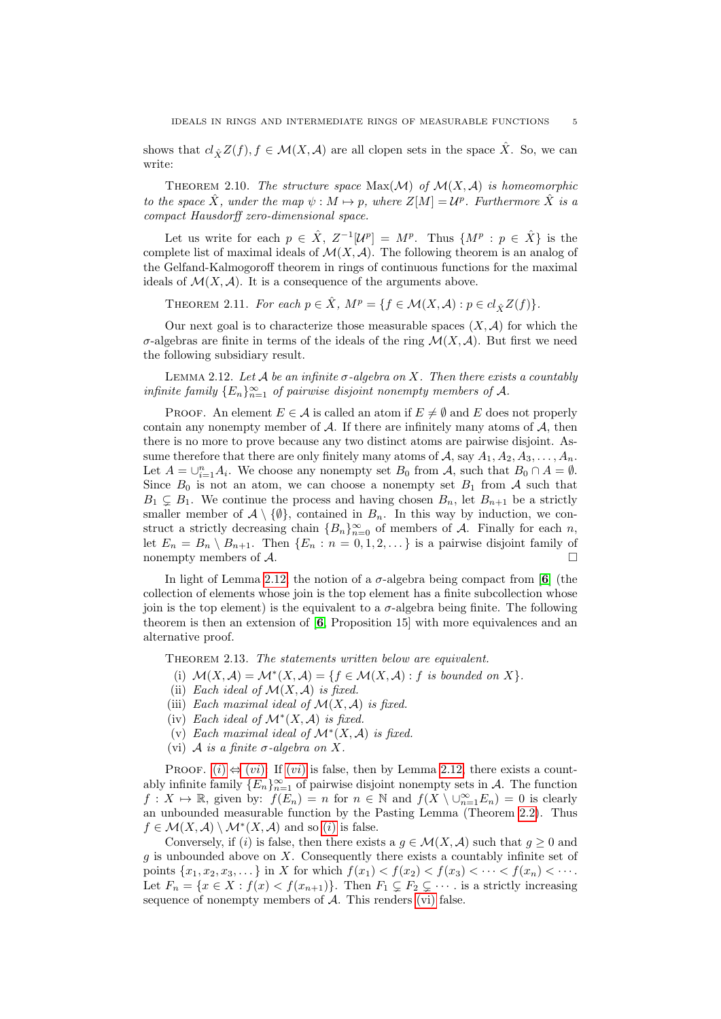shows that  $cl_{\hat{X}}Z(f), f \in \mathcal{M}(X, \mathcal{A})$  are all clopen sets in the space  $\hat{X}$ . So, we can write:

<span id="page-4-0"></span>THEOREM 2.10. The structure space  $Max(\mathcal{M})$  of  $\mathcal{M}(X, \mathcal{A})$  is homeomorphic to the space  $\hat{X}$ , under the map  $\psi : M \mapsto p$ , where  $Z[M] = \mathcal{U}^p$ . Furthermore  $\hat{X}$  is a compact Hausdorff zero-dimensional space.

Let us write for each  $p \in \hat{X}$ ,  $Z^{-1}[\mathcal{U}^p] = M^p$ . Thus  $\{M^p : p \in \hat{X}\}\)$  is the complete list of maximal ideals of  $\mathcal{M}(X, \mathcal{A})$ . The following theorem is an analog of the Gelfand-Kalmogoroff theorem in rings of continuous functions for the maximal ideals of  $\mathcal{M}(X,\mathcal{A})$ . It is a consequence of the arguments above.

<span id="page-4-1"></span>THEOREM 2.11. For each  $p \in \hat{X}$ ,  $M^p = \{f \in \mathcal{M}(X, \mathcal{A}) : p \in cl_{\hat{X}}Z(f)\}.$ 

Our next goal is to characterize those measurable spaces  $(X, \mathcal{A})$  for which the σ-algebras are finite in terms of the ideals of the ring  $\mathcal{M}(X,\mathcal{A})$ . But first we need the following subsidiary result.

<span id="page-4-3"></span>LEMMA 2.12. Let A be an infinite  $\sigma$ -algebra on X. Then there exists a countably infinite family  $\{E_n\}_{n=1}^{\infty}$  of pairwise disjoint nonempty members of A.

PROOF. An element  $E \in \mathcal{A}$  is called an atom if  $E \neq \emptyset$  and E does not properly contain any nonempty member of  $\mathcal A$ . If there are infinitely many atoms of  $\mathcal A$ , then there is no more to prove because any two distinct atoms are pairwise disjoint. Assume therefore that there are only finitely many atoms of A, say  $A_1, A_2, A_3, \ldots, A_n$ . Let  $A = \bigcup_{i=1}^{n} A_i$ . We choose any nonempty set  $B_0$  from  $A$ , such that  $B_0 \cap A = \emptyset$ . Since  $B_0$  is not an atom, we can choose a nonempty set  $B_1$  from A such that  $B_1 \subsetneq B_1$ . We continue the process and having chosen  $B_n$ , let  $B_{n+1}$  be a strictly smaller member of  $\mathcal{A} \setminus \{\emptyset\}$ , contained in  $B_n$ . In this way by induction, we construct a strictly decreasing chain  ${B_n}_{n=0}^{\infty}$  of members of A. Finally for each n, let  $E_n = B_n \setminus B_{n+1}$ . Then  $\{E_n : n = 0, 1, 2, \ldots\}$  is a pairwise disjoint family of nonempty members of  $\mathcal{A}.$ 

In light of Lemma [2.12,](#page-4-3) the notion of a  $\sigma$ -algebra being compact from [[6](#page-13-3)] (the collection of elements whose join is the top element has a finite subcollection whose ioin is the top element) is the equivalent to a  $\sigma$ -algebra being finite. The following theorem is then an extension of [[6](#page-13-3), Proposition 15] with more equivalences and an alternative proof.

<span id="page-4-4"></span><span id="page-4-2"></span>THEOREM 2.13. The statements written below are equivalent.

- (i)  $\mathcal{M}(X,\mathcal{A}) = \mathcal{M}^*(X,\mathcal{A}) = \{f \in \mathcal{M}(X,\mathcal{A}) : f \text{ is bounded on } X\}.$
- <span id="page-4-6"></span>(ii) Each ideal of  $\mathcal{M}(X, \mathcal{A})$  is fixed.
- <span id="page-4-8"></span>(iii) Each maximal ideal of  $\mathcal{M}(X, \mathcal{A})$  is fixed.
- <span id="page-4-7"></span>(iv) Each ideal of  $\mathcal{M}^*(X, \mathcal{A})$  is fixed.
- <span id="page-4-9"></span>(v) Each maximal ideal of  $\mathcal{M}^*(X, \mathcal{A})$  is fixed.
- (vi) A is a finite  $\sigma$ -algebra on X.

<span id="page-4-5"></span>PROOF.  $(i) \Leftrightarrow (vi)$  $(i) \Leftrightarrow (vi)$  $(i) \Leftrightarrow (vi)$  $(i) \Leftrightarrow (vi)$ : If  $(vi)$  is false, then by Lemma [2.12,](#page-4-3) there exists a countably infinite family  ${E_n}_{n=1}^{\infty}$  of pairwise disjoint nonempty sets in A. The function  $f: X \mapsto \mathbb{R}$ , given by:  $f(E_n) = n$  for  $n \in \mathbb{N}$  and  $f(X \setminus \bigcup_{n=1}^{\infty} E_n) = 0$  is clearly an unbounded measurable function by the Pasting Lemma (Theorem [2.2\)](#page-2-5). Thus  $f \in \mathcal{M}(X,\mathcal{A}) \setminus \mathcal{M}^*(X,\mathcal{A})$  $f \in \mathcal{M}(X,\mathcal{A}) \setminus \mathcal{M}^*(X,\mathcal{A})$  $f \in \mathcal{M}(X,\mathcal{A}) \setminus \mathcal{M}^*(X,\mathcal{A})$  and so (*i*) is false.

Conversely, if (i) is false, then there exists a  $g \in \mathcal{M}(X,\mathcal{A})$  such that  $g \geq 0$  and  $g$  is unbounded above on  $X$ . Consequently there exists a countably infinite set of points  $\{x_1, x_2, x_3, \dots\}$  in X for which  $f(x_1) < f(x_2) < f(x_3) < \dots < f(x_n) < \dots$ Let  $F_n = \{x \in X : f(x) < f(x_{n+1})\}$ . Then  $F_1 \subsetneq F_2 \subsetneq \cdots$  is a strictly increasing sequence of nonempty members of  $A$ . This renders [\(vi\)](#page-4-5) false.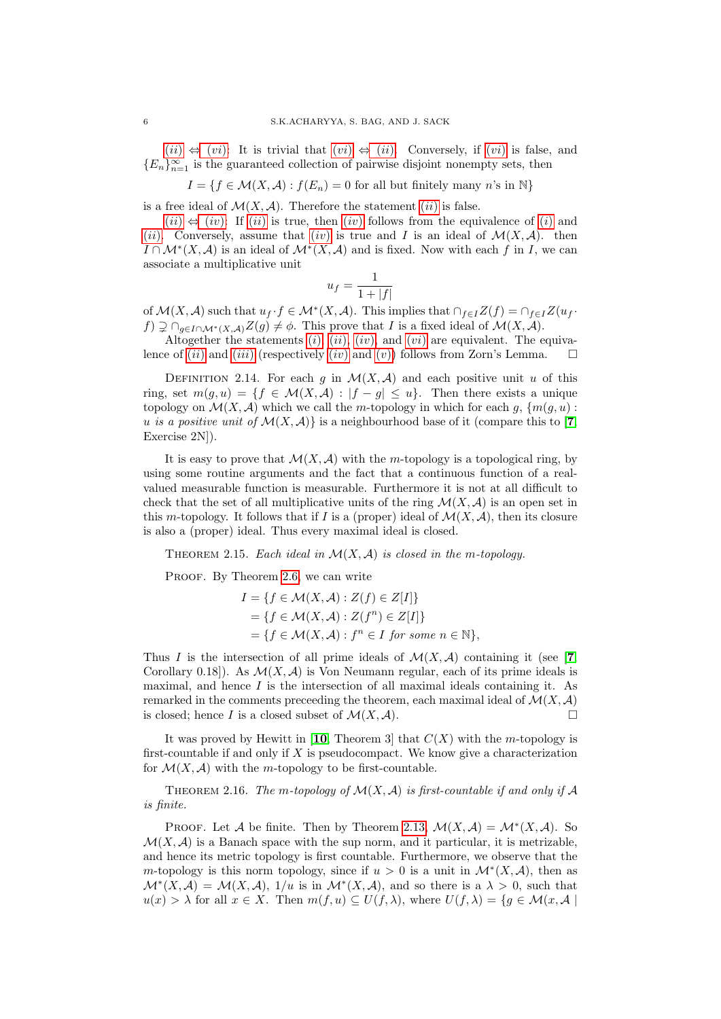$(ii) \Leftrightarrow (vi)$  $(ii) \Leftrightarrow (vi)$  $(ii) \Leftrightarrow (vi)$  $(ii) \Leftrightarrow (vi)$  $(ii) \Leftrightarrow (vi)$ : It is trivial that  $(vi) \Leftrightarrow (ii)$ . Conversely, if  $(vi)$  is false, and  ${E_n}_{n=1}^{\infty}$  is the guaranteed collection of pairwise disjoint nonempty sets, then

 $I = \{f \in \mathcal{M}(X, \mathcal{A}) : f(E_n) = 0 \text{ for all but finitely many } n\text{'s in } \mathbb{N}\}\$ 

is a free ideal of  $\mathcal{M}(X,\mathcal{A})$ . Therefore the statement *([ii](#page-4-6))* is false.

 $(ii) \Leftrightarrow (iv)$  $(ii) \Leftrightarrow (iv)$  $(ii) \Leftrightarrow (iv)$  $(ii) \Leftrightarrow (iv)$  $(ii) \Leftrightarrow (iv)$ : If  $(ii)$  is true, then  $(iv)$  follows from the equivalence of  $(i)$  and ([ii](#page-4-6)). Conversely, assume that ([iv](#page-4-7)) is true and I is an ideal of  $\mathcal{M}(X,\mathcal{A})$ . then  $I \cap \mathcal{M}^*(X, \mathcal{A})$  is an ideal of  $\mathcal{M}^*(X, \mathcal{A})$  and is fixed. Now with each f in I, we can associate a multiplicative unit

$$
u_f = \frac{1}{1+|f|}
$$

of  $\mathcal{M}(X,\mathcal{A})$  such that  $u_f \cdot f \in \mathcal{M}^*(X,\mathcal{A})$ . This implies that  $\cap_{f\in I}Z(f) = \cap_{f\in I}Z(u_f \cdot f)$  $f$ )  $\supsetneq$   $\cap_{g \in I \cap \mathcal{M}^*(X,\mathcal{A})} Z(g) \neq \emptyset$ . This prove that I is a fixed ideal of  $\mathcal{M}(X,\mathcal{A})$ .

Altogether the statements  $(i)$ ,  $(ii)$  $(ii)$  $(ii)$ ,  $(iv)$  $(iv)$  $(iv)$ , and  $(vi)$  $(vi)$  $(vi)$  are equivalent. The equivalence of ([ii](#page-4-6)) and ([iii](#page-4-8)) (respect[iv](#page-4-7)ely [\(](#page-4-9)iv) and (v)) follows from Zorn's Lemma.  $\square$ 

DEFINITION 2.14. For each g in  $\mathcal{M}(X,\mathcal{A})$  and each positive unit u of this ring, set  $m(g, u) = \{f \in \mathcal{M}(X, \mathcal{A}) : |f - g| \leq u\}$ . Then there exists a unique topology on  $\mathcal{M}(X, \mathcal{A})$  which we call the m-topology in which for each  $q$ ,  $\{m(q, u):$ u is a positive unit of  $\mathcal{M}(X,\mathcal{A})$  is a neighbourhood base of it (compare this to [[7](#page-13-9), Exercise 2N]).

It is easy to prove that  $\mathcal{M}(X,\mathcal{A})$  with the m-topology is a topological ring, by using some routine arguments and the fact that a continuous function of a realvalued measurable function is measurable. Furthermore it is not at all difficult to check that the set of all multiplicative units of the ring  $\mathcal{M}(X,\mathcal{A})$  is an open set in this m-topology. It follows that if I is a (proper) ideal of  $\mathcal{M}(X,\mathcal{A})$ , then its closure is also a (proper) ideal. Thus every maximal ideal is closed.

<span id="page-5-0"></span>THEOREM 2.15. Each ideal in  $\mathcal{M}(X, \mathcal{A})$  is closed in the m-topology.

PROOF. By Theorem [2.6,](#page-2-1) we can write

$$
I = \{ f \in \mathcal{M}(X, \mathcal{A}) : Z(f) \in Z[I] \}
$$
  
= 
$$
\{ f \in \mathcal{M}(X, \mathcal{A}) : Z(f^n) \in Z[I] \}
$$
  
= 
$$
\{ f \in \mathcal{M}(X, \mathcal{A}) : f^n \in I \text{ for some } n \in \mathbb{N} \},
$$

Thus I is the intersection of all prime ideals of  $\mathcal{M}(X,\mathcal{A})$  containing it (see [[7](#page-13-9), Corollary 0.18]). As  $\mathcal{M}(X, \mathcal{A})$  is Von Neumann regular, each of its prime ideals is maximal, and hence  $I$  is the intersection of all maximal ideals containing it. As remarked in the comments preceeding the theorem, each maximal ideal of  $\mathcal{M}(X, \mathcal{A})$ is closed; hence I is a closed subset of  $\mathcal{M}(X,\mathcal{A})$ .

It was proved by Hewitt in [[10](#page-13-11), Theorem 3] that  $C(X)$  with the m-topology is first-countable if and only if  $X$  is pseudocompact. We know give a characterization for  $\mathcal{M}(X, \mathcal{A})$  with the *m*-topology to be first-countable.

THEOREM 2.16. The m-topology of  $\mathcal{M}(X, \mathcal{A})$  is first-countable if and only if  $\mathcal A$ is finite.

PROOF. Let A be finite. Then by Theorem [2.13,](#page-4-2)  $\mathcal{M}(X,\mathcal{A}) = \mathcal{M}^*(X,\mathcal{A})$ . So  $\mathcal{M}(X, \mathcal{A})$  is a Banach space with the sup norm, and it particular, it is metrizable, and hence its metric topology is first countable. Furthermore, we observe that the m-topology is this norm topology, since if  $u > 0$  is a unit in  $\mathcal{M}^*(X, \mathcal{A})$ , then as  $\mathcal{M}^*(X,\mathcal{A}) = \mathcal{M}(X,\mathcal{A}), 1/u$  is in  $\mathcal{M}^*(X,\mathcal{A}),$  and so there is a  $\lambda > 0$ , such that  $u(x) > \lambda$  for all  $x \in X$ . Then  $m(f, u) \subseteq U(f, \lambda)$ , where  $U(f, \lambda) = \{g \in \mathcal{M}(x, \mathcal{A})\}$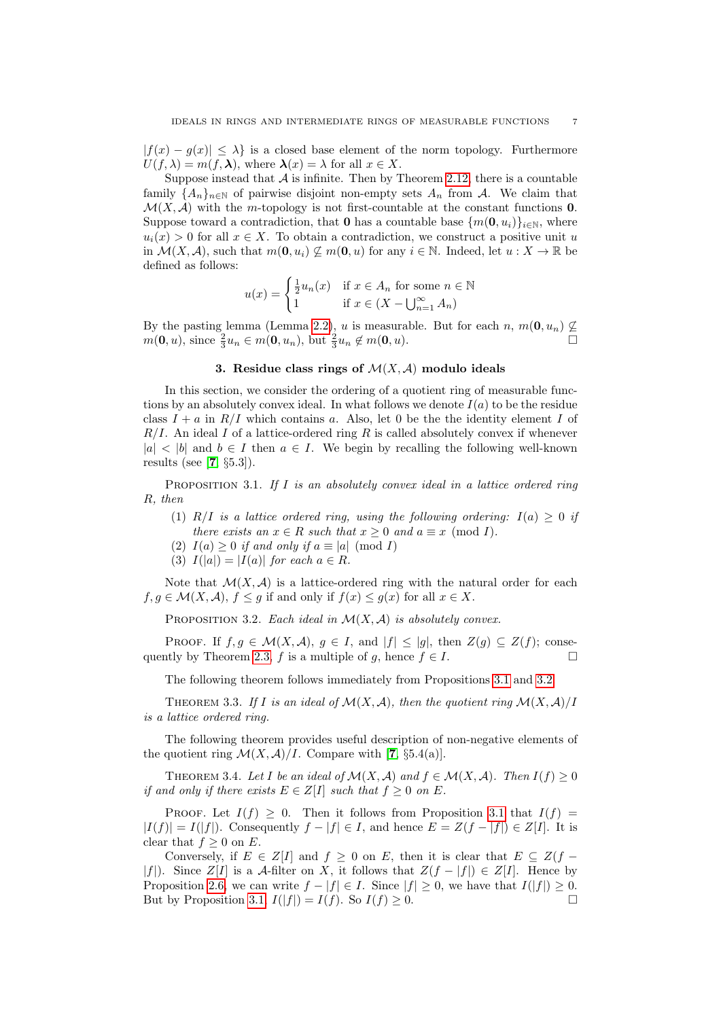$|f(x) - g(x)| \leq \lambda$  is a closed base element of the norm topology. Furthermore  $U(f, \lambda) = m(f, \lambda)$ , where  $\lambda(x) = \lambda$  for all  $x \in X$ .

Suppose instead that  $A$  is infinite. Then by Theorem [2.12,](#page-4-3) there is a countable family  ${A_n}_{n\in\mathbb{N}}$  of pairwise disjoint non-empty sets  $A_n$  from A. We claim that  $\mathcal{M}(X, \mathcal{A})$  with the m-topology is not first-countable at the constant functions **0**. Suppose toward a contradiction, that 0 has a countable base  $\{m(0, u_i)\}_{i\in\mathbb{N}}$ , where  $u_i(x) > 0$  for all  $x \in X$ . To obtain a contradiction, we construct a positive unit u in  $\mathcal{M}(X, \mathcal{A})$ , such that  $m(\mathbf{0}, u_i) \nsubseteq m(\mathbf{0}, u)$  for any  $i \in \mathbb{N}$ . Indeed, let  $u : X \to \mathbb{R}$  be defined as follows:

$$
u(x) = \begin{cases} \frac{1}{2}u_n(x) & \text{if } x \in A_n \text{ for some } n \in \mathbb{N} \\ 1 & \text{if } x \in (X - \bigcup_{n=1}^{\infty} A_n) \end{cases}
$$

By the pasting lemma (Lemma [2.2\)](#page-2-5), u is measurable. But for each n,  $m(\mathbf{0}, u_n) \nsubseteq$  $m(\mathbf{0}, u)$ , since  $\frac{2}{3}u_n \in m(\mathbf{0}, u_n)$ , but  $\frac{2}{3}u_n \notin m(\mathbf{0}, u)$ .

## 3. Residue class rings of  $\mathcal{M}(X,\mathcal{A})$  modulo ideals

<span id="page-6-0"></span>In this section, we consider the ordering of a quotient ring of measurable functions by an absolutely convex ideal. In what follows we denote  $I(a)$  to be the residue class  $I + a$  in  $R/I$  which contains a. Also, let 0 be the the identity element I of  $R/I$ . An ideal I of a lattice-ordered ring R is called absolutely convex if whenever  $|a| < |b|$  and  $b \in I$  then  $a \in I$ . We begin by recalling the following well-known results (see [ $7, \S5.3$  $7, \S5.3$ ]).

<span id="page-6-1"></span>PROPOSITION 3.1. If I is an absolutely convex ideal in a lattice ordered ring R, then

- (1) R/I is a lattice ordered ring, using the following ordering:  $I(a) \geq 0$  if there exists an  $x \in R$  such that  $x \geq 0$  and  $a \equiv x \pmod{I}$ .
- (2)  $I(a) \geq 0$  if and only if  $a \equiv |a| \pmod{I}$
- (3)  $I(|a|) = |I(a)|$  for each  $a \in R$ .

Note that  $\mathcal{M}(X,\mathcal{A})$  is a lattice-ordered ring with the natural order for each  $f, g \in \mathcal{M}(X, \mathcal{A}), f \leq g$  if and only if  $f(x) \leq g(x)$  for all  $x \in X$ .

<span id="page-6-2"></span>PROPOSITION 3.2. Each ideal in  $\mathcal{M}(X, \mathcal{A})$  is absolutely convex.

PROOF. If  $f, g \in \mathcal{M}(X, \mathcal{A}), g \in I$ , and  $|f| \leq |g|$ , then  $Z(g) \subseteq Z(f)$ ; conse-quently by Theorem [2.3,](#page-2-0) f is a multiple of g, hence  $f \in I$ .

The following theorem follows immediately from Propositions [3.1](#page-6-1) and [3.2.](#page-6-2)

THEOREM 3.3. If I is an ideal of  $\mathcal{M}(X,\mathcal{A})$ , then the quotient ring  $\mathcal{M}(X,\mathcal{A})/I$ is a lattice ordered ring.

The following theorem provides useful description of non-negative elements of the quotient ring  $\mathcal{M}(X,\mathcal{A})/I$ . Compare with [[7](#page-13-9), §5.4(a)].

<span id="page-6-3"></span>THEOREM 3.4. Let I be an ideal of  $\mathcal{M}(X, \mathcal{A})$  and  $f \in \mathcal{M}(X, \mathcal{A})$ . Then  $I(f) \geq 0$ if and only if there exists  $E \in Z[I]$  such that  $f \geq 0$  on E.

PROOF. Let  $I(f) \geq 0$ . Then it follows from Proposition [3.1](#page-6-1) that  $I(f)$  =  $|I(f)| = I(|f|)$ . Consequently  $f - |f| \in I$ , and hence  $E = Z(f - |f|) \in Z[I]$ . It is clear that  $f \geq 0$  on E.

Conversely, if  $E \in Z[I]$  and  $f \geq 0$  on E, then it is clear that  $E \subseteq Z(f -$ |f|). Since  $Z[I]$  is a A-filter on X, it follows that  $Z(f - |f|) \in Z[I]$ . Hence by Proposition [2.6,](#page-2-1) we can write  $f - |f| \in I$ . Since  $|f| \geq 0$ , we have that  $I(|f|) \geq 0$ . But by Proposition [3.1,](#page-6-1)  $I(|f|) = I(f)$ . So  $I(f) \geq 0$ .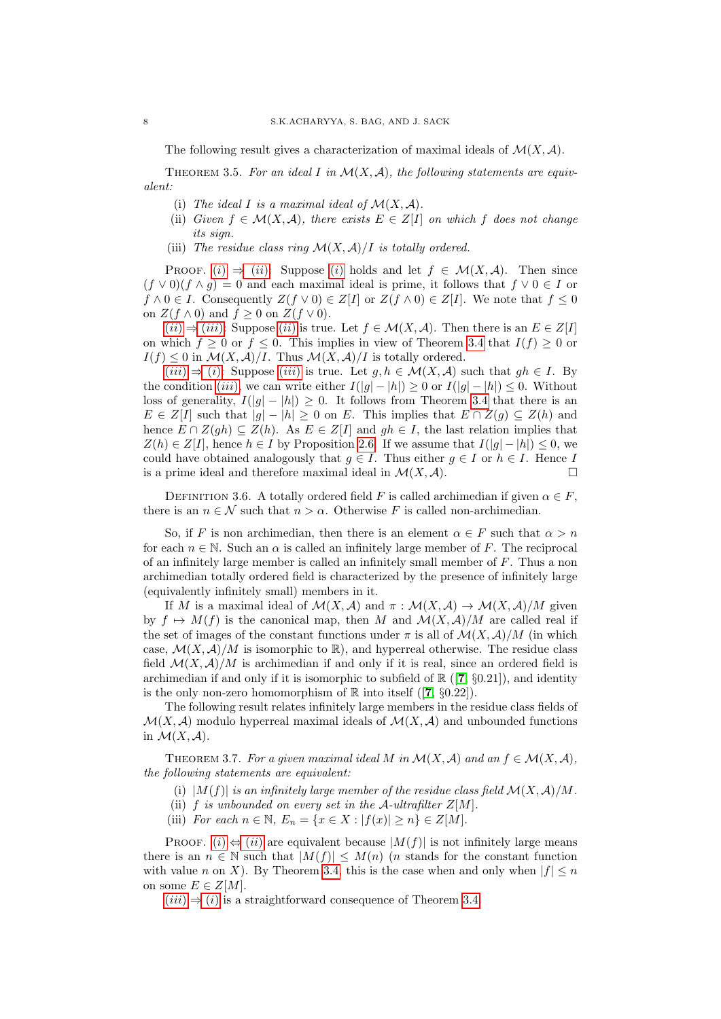The following result gives a characterization of maximal ideals of  $\mathcal{M}(X, \mathcal{A})$ .

<span id="page-7-1"></span><span id="page-7-0"></span>THEOREM 3.5. For an ideal I in  $\mathcal{M}(X,\mathcal{A})$ , the following statements are equivalent:

- (i) The ideal I is a maximal ideal of  $\mathcal{M}(X,\mathcal{A})$ .
- <span id="page-7-2"></span>(ii) Given  $f \in \mathcal{M}(X,\mathcal{A})$ , there exists  $E \in Z[I]$  on which f does not change its sign.
- (iii) The residue class ring  $\mathcal{M}(X, \mathcal{A})/I$  is totally ordered.

<span id="page-7-3"></span>PROOF. [\(](#page-7-1)i[\)](#page-7-1)  $\Rightarrow$  ([ii](#page-7-2)): Suppose (i) holds and let  $f \in \mathcal{M}(X,\mathcal{A})$ . Then since  $(f \vee 0)(f \wedge g) = 0$  and each maximal ideal is prime, it follows that  $f \vee 0 \in I$  or  $f \wedge 0 \in I$ . Consequently  $Z(f \vee 0) \in Z[I]$  or  $Z(f \wedge 0) \in Z[I]$ . We note that  $f \leq 0$ on  $Z(f \wedge 0)$  and  $f \geq 0$  on  $Z(f \vee 0)$ .

 $(ii) \Rightarrow (iii)$  $(ii) \Rightarrow (iii)$  $(ii) \Rightarrow (iii)$  $(ii) \Rightarrow (iii)$  $(ii) \Rightarrow (iii)$ : Suppose  $(ii)$  is true. Let  $f \in \mathcal{M}(X, \mathcal{A})$ . Then there is an  $E \in Z[I]$ on which  $f \geq 0$  or  $f \leq 0$ . This implies in view of Theorem [3.4](#page-6-3) that  $I(f) \geq 0$  or  $I(f) \leq 0$  in  $\mathcal{M}(X,\mathcal{A})/I$ . Thus  $\mathcal{M}(X,\mathcal{A})/I$  is totally ordered.

 $(iii) \Rightarrow (i)$  $(iii) \Rightarrow (i)$  $(iii) \Rightarrow (i)$ : Suppose  $(iii)$  is true. Let  $g, h \in \mathcal{M}(X, \mathcal{A})$  such that  $gh \in I$ . By the condition ([iii](#page-7-3)), we can write either  $I(|g|-|h|) \geq 0$  or  $I(|g|-|h|) \leq 0$ . Without loss of generality,  $I(|g| - |h|) \geq 0$ . It follows from Theorem [3.4](#page-6-3) that there is an  $E \in Z[I]$  such that  $|g| - |h| \geq 0$  on E. This implies that  $E \cap Z(g) \subseteq Z(h)$  and hence  $E \cap Z(gh) \subseteq Z(h)$ . As  $E \in Z[I]$  and  $gh \in I$ , the last relation implies that  $Z(h) \in Z[I]$ , hence  $h \in I$  by Proposition [2.6.](#page-2-1) If we assume that  $I(|q| - |h|) \leq 0$ , we could have obtained analogously that  $g \in I$ . Thus either  $g \in I$  or  $h \in I$ . Hence I is a prime ideal and therefore maximal ideal in  $\mathcal{M}(X,\mathcal{A})$ .

DEFINITION 3.6. A totally ordered field F is called archimedian if given  $\alpha \in F$ , there is an  $n \in \mathcal{N}$  such that  $n > \alpha$ . Otherwise F is called non-archimedian.

So, if F is non archimedian, then there is an element  $\alpha \in F$  such that  $\alpha > n$ for each  $n \in \mathbb{N}$ . Such an  $\alpha$  is called an infinitely large member of F. The reciprocal of an infinitely large member is called an infinitely small member of F. Thus a non archimedian totally ordered field is characterized by the presence of infinitely large (equivalently infinitely small) members in it.

If M is a maximal ideal of  $\mathcal{M}(X,\mathcal{A})$  and  $\pi : \mathcal{M}(X,\mathcal{A}) \to \mathcal{M}(X,\mathcal{A})/M$  given by  $f \mapsto M(f)$  is the canonical map, then M and  $\mathcal{M}(X, \mathcal{A})/M$  are called real if the set of images of the constant functions under  $\pi$  is all of  $\mathcal{M}(X,\mathcal{A})/M$  (in which case,  $\mathcal{M}(X,\mathcal{A})/M$  is isomorphic to  $\mathbb{R}$ ), and hyperreal otherwise. The residue class field  $\mathcal{M}(X,\mathcal{A})/M$  is archimedian if and only if it is real, since an ordered field is archimedian if and only if it is isomorphic to subfield of  $\mathbb{R}$  ([[7](#page-13-9), §0.21]), and identity is the only non-zero homomorphism of  $\mathbb R$  into itself ([[7](#page-13-9),  $\S 0.22$ ]).

The following result relates infinitely large members in the residue class fields of  $\mathcal{M}(X, \mathcal{A})$  modulo hyperreal maximal ideals of  $\mathcal{M}(X, \mathcal{A})$  and unbounded functions in  $\mathcal{M}(X,\mathcal{A})$ .

<span id="page-7-7"></span>THEOREM 3.7. For a given maximal ideal M in  $\mathcal{M}(X,\mathcal{A})$  and an  $f \in \mathcal{M}(X,\mathcal{A})$ , the following statements are equivalent:

<span id="page-7-4"></span>(i)  $|M(f)|$  is an infinitely large member of the residue class field  $\mathcal{M}(X,\mathcal{A})/M$ .

<span id="page-7-5"></span>(ii) f is unbounded on every set in the A-ultrafilter  $Z[M]$ .

<span id="page-7-6"></span>(iii) For each  $n \in \mathbb{N}$ ,  $E_n = \{x \in X : |f(x)| \ge n\} \in Z[M]$ .

PROOF. [\(](#page-7-4)i)  $\Leftrightarrow$  ([ii](#page-7-5)) are equivalent because  $|M(f)|$  is not infinitely large means there is an  $n \in \mathbb{N}$  such that  $|M(f)| \leq M(n)$  (*n* stands for the constant function with value n on X). By Theorem [3.4,](#page-6-3) this is the case when and only when  $|f| \le n$ on some  $E \in Z[M]$ .

 $(iii) \Rightarrow (i)$  $(iii) \Rightarrow (i)$  $(iii) \Rightarrow (i)$  $(iii) \Rightarrow (i)$  is a straightforward consequence of Theorem [3.4.](#page-6-3)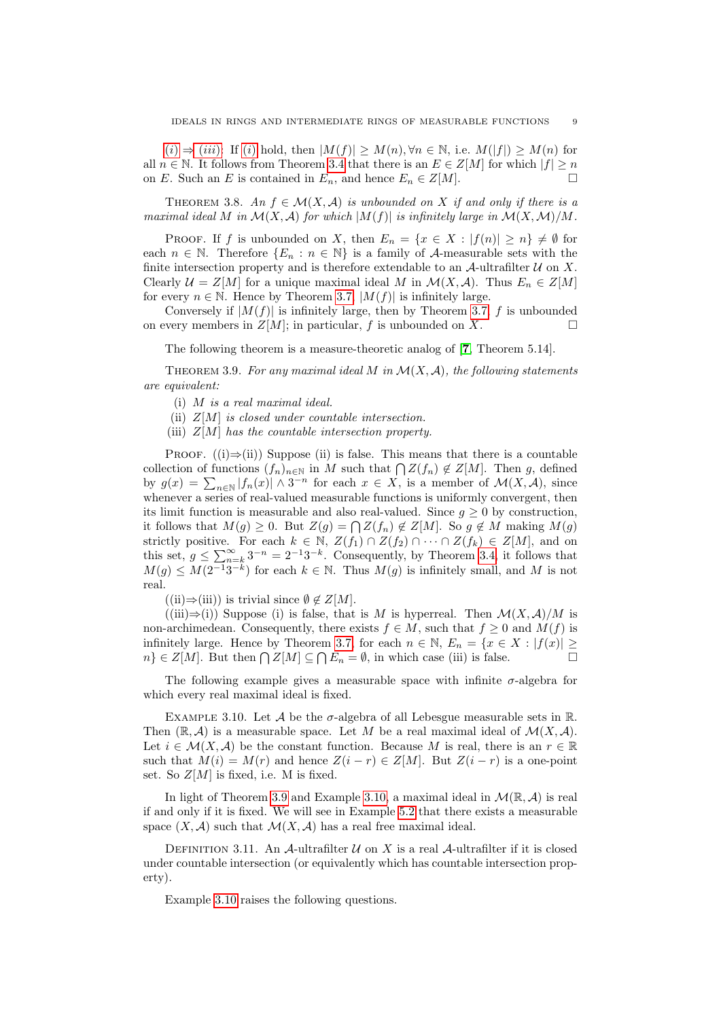$(i) \Rightarrow (iii)$  $(i) \Rightarrow (iii)$  $(i) \Rightarrow (iii)$  $(i) \Rightarrow (iii)$ : If [\(](#page-7-4)i) hold, then  $|M(f)| \geq M(n), \forall n \in \mathbb{N}$ , i.e.  $M(|f|) \geq M(n)$  for all  $n \in \mathbb{N}$ . It follows from Theorem [3.4](#page-6-3) that there is an  $E \in \mathbb{Z}[M]$  for which  $|f| \geq n$ on E. Such an E is contained in  $E_n$ , and hence  $E_n \in Z[M]$ .

THEOREM 3.8. An  $f \in \mathcal{M}(X, \mathcal{A})$  is unbounded on X if and only if there is a maximal ideal M in  $\mathcal{M}(X,\mathcal{A})$  for which  $|M(f)|$  is infinitely large in  $\mathcal{M}(X,\mathcal{M})/M$ .

PROOF. If f is unbounded on X, then  $E_n = \{x \in X : |f(n)| \ge n\} \ne \emptyset$  for each  $n \in \mathbb{N}$ . Therefore  $\{E_n : n \in \mathbb{N}\}\$ is a family of A-measurable sets with the finite intersection property and is therefore extendable to an  $\mathcal A$ -ultrafilter  $\mathcal U$  on X. Clearly  $\mathcal{U} = Z[M]$  for a unique maximal ideal M in  $\mathcal{M}(X, \mathcal{A})$ . Thus  $E_n \in Z[M]$ for every  $n \in \mathbb{N}$ . Hence by Theorem [3.7,](#page-7-7)  $|M(f)|$  is infinitely large.

Conversely if  $|M(f)|$  is infinitely large, then by Theorem [3.7,](#page-7-7) f is unbounded on every members in  $Z[M]$ ; in particular, f is unbounded on X.

The following theorem is a measure-theoretic analog of [[7](#page-13-9), Theorem 5.14].

<span id="page-8-0"></span>THEOREM 3.9. For any maximal ideal M in  $\mathcal{M}(X,\mathcal{A})$ , the following statements are equivalent:

(i) M is a real maximal ideal.

- (ii)  $Z[M]$  is closed under countable intersection.
- (iii)  $Z[M]$  has the countable intersection property.

PROOF.  $((i) \Rightarrow (ii))$  Suppose (ii) is false. This means that there is a countable collection of functions  $(f_n)_{n\in\mathbb{N}}$  in M such that  $\bigcap Z(f_n)\notin Z[M]$ . Then g, defined by  $g(x) = \sum_{n \in \mathbb{N}} |f_n(x)| \wedge 3^{-n}$  for each  $x \in X$ , is a member of  $\mathcal{M}(X, \mathcal{A})$ , since whenever a series of real-valued measurable functions is uniformly convergent, then its limit function is measurable and also real-valued. Since  $q \geq 0$  by construction, it follows that  $M(g) \geq 0$ . But  $Z(g) = \bigcap Z(f_n) \notin Z[M]$ . So  $g \notin M$  making  $M(g)$ strictly positive. For each  $k \in \mathbb{N}$ ,  $Z(f_1) \cap Z(f_2) \cap \cdots \cap Z(f_k) \in Z[M]$ , and on this set,  $g \le \sum_{n=k}^{\infty} 3^{-n} = 2^{-1}3^{-k}$ . Consequently, by Theorem [3.4,](#page-6-3) it follows that  $M(g) \leq M(2^{-1}3^{-k})$  for each  $k \in \mathbb{N}$ . Thus  $M(g)$  is infinitely small, and M is not real.

 $((ii) \Rightarrow (iii))$  is trivial since  $\emptyset \notin Z[M].$ 

 $((iii) \Rightarrow (i))$  Suppose (i) is false, that is M is hyperreal. Then  $\mathcal{M}(X, \mathcal{A})/M$  is non-archimedean. Consequently, there exists  $f \in M$ , such that  $f \geq 0$  and  $M(f)$  is infinitely large. Hence by Theorem [3.7,](#page-7-7) for each  $n \in \mathbb{N}$ ,  $E_n = \{x \in X : |f(x)| \ge$  $n\} \in \mathbb{Z}[M]$ . But then  $\bigcap \mathbb{Z}[M] \subseteq \bigcap E_n = \emptyset$ , in which case (iii) is false.

The following example gives a measurable space with infinite  $\sigma$ -algebra for which every real maximal ideal is fixed.

<span id="page-8-1"></span>EXAMPLE 3.10. Let  $\mathcal A$  be the  $\sigma$ -algebra of all Lebesgue measurable sets in  $\mathbb R$ . Then  $(\mathbb{R}, \mathcal{A})$  is a measurable space. Let M be a real maximal ideal of  $\mathcal{M}(X, \mathcal{A})$ . Let  $i \in \mathcal{M}(X, \mathcal{A})$  be the constant function. Because M is real, there is an  $r \in \mathbb{R}$ such that  $M(i) = M(r)$  and hence  $Z(i - r) \in Z[M]$ . But  $Z(i - r)$  is a one-point set. So  $Z[M]$  is fixed, i.e. M is fixed.

In light of Theorem [3.9](#page-8-0) and Example [3.10,](#page-8-1) a maximal ideal in  $\mathcal{M}(\mathbb{R}, \mathcal{A})$  is real if and only if it is fixed. We will see in Example [5.2](#page-12-1) that there exists a measurable space  $(X, \mathcal{A})$  such that  $\mathcal{M}(X, \mathcal{A})$  has a real free maximal ideal.

DEFINITION 3.11. An  $A$ -ultrafilter  $U$  on X is a real  $A$ -ultrafilter if it is closed under countable intersection (or equivalently which has countable intersection property).

Example [3.10](#page-8-1) raises the following questions.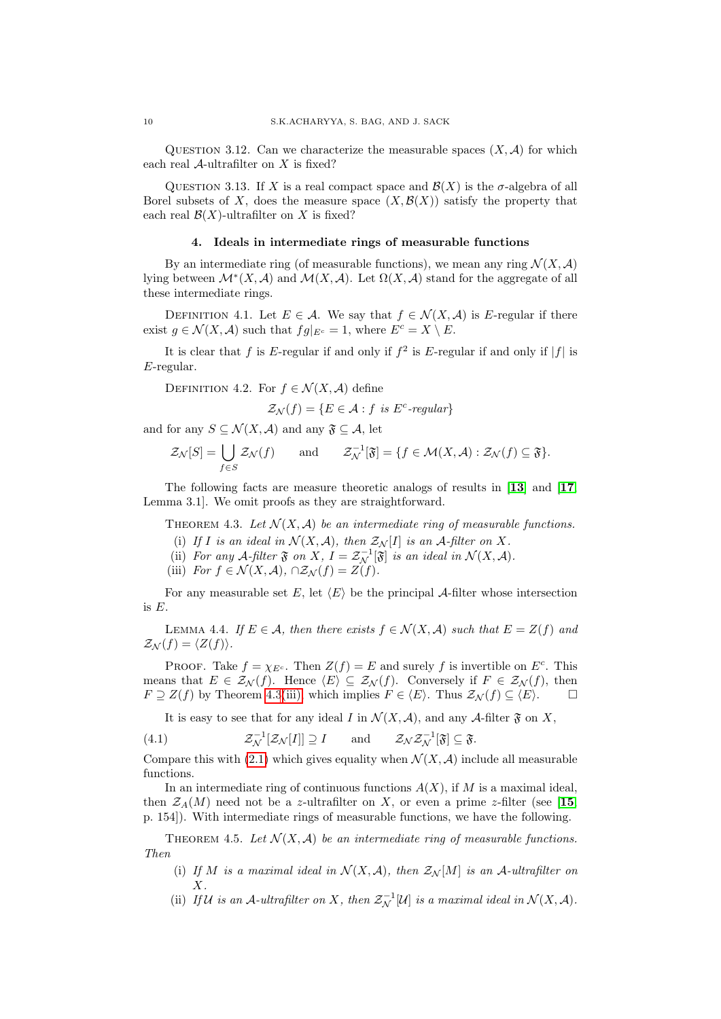<span id="page-9-9"></span>QUESTION 3.12. Can we characterize the measurable spaces  $(X, \mathcal{A})$  for which each real  $A$ -ultrafilter on  $X$  is fixed?

QUESTION 3.13. If X is a real compact space and  $\mathcal{B}(X)$  is the  $\sigma$ -algebra of all Borel subsets of X, does the measure space  $(X, \mathcal{B}(X))$  satisfy the property that each real  $\mathcal{B}(X)$ -ultrafilter on X is fixed?

#### 4. Ideals in intermediate rings of measurable functions

<span id="page-9-0"></span>By an intermediate ring (of measurable functions), we mean any ring  $\mathcal{N}(X,\mathcal{A})$ lying between  $\mathcal{M}^*(X, \mathcal{A})$  and  $\mathcal{M}(X, \mathcal{A})$ . Let  $\Omega(X, \mathcal{A})$  stand for the aggregate of all these intermediate rings.

DEFINITION 4.1. Let  $E \in \mathcal{A}$ . We say that  $f \in \mathcal{N}(X, \mathcal{A})$  is E-regular if there exist  $g \in \mathcal{N}(X, \mathcal{A})$  such that  $fg|_{E^c} = 1$ , where  $E^c = X \setminus E$ .

It is clear that f is E-regular if and only if  $f^2$  is E-regular if and only if  $|f|$  is E-regular.

DEFINITION 4.2. For  $f \in \mathcal{N}(X, \mathcal{A})$  define

$$
\mathcal{Z}_{\mathcal{N}}(f) = \{ E \in \mathcal{A} : f \text{ is } E^c\text{-}regular \}
$$

and for any  $S \subseteq \mathcal{N}(X, \mathcal{A})$  and any  $\mathfrak{F} \subseteq \mathcal{A}$ , let

$$
\mathcal{Z}_{\mathcal{N}}[S] = \bigcup_{f \in S} \mathcal{Z}_{\mathcal{N}}(f) \quad \text{and} \quad \mathcal{Z}_{\mathcal{N}}^{-1}[\mathfrak{F}] = \{f \in \mathcal{M}(X, \mathcal{A}) : \mathcal{Z}_{\mathcal{N}}(f) \subseteq \mathfrak{F}\}.
$$

The following facts are measure theoretic analogs of results in [[13](#page-13-4)] and [[17](#page-14-4), Lemma 3.1]. We omit proofs as they are straightforward.

<span id="page-9-4"></span><span id="page-9-1"></span>THEOREM 4.3. Let  $\mathcal{N}(X, \mathcal{A})$  be an intermediate ring of measurable functions.

- (i) If I is an ideal in  $\mathcal{N}(X, \mathcal{A})$ , then  $\mathcal{Z}_{\mathcal{N}}[I]$  is an A-filter on X.
- <span id="page-9-7"></span>(ii) For any A-filter  $\mathfrak F$  on X,  $I = \mathcal Z_N^{-1}[\mathfrak F]$  is an ideal in  $\mathcal N(X, \mathcal A)$ .
- (iii) For  $f \in \mathcal{N}(X, \mathcal{A}), \cap \mathcal{Z}_{\mathcal{N}}(f) = Z(f).$

<span id="page-9-2"></span>For any measurable set E, let  $\langle E \rangle$  be the principal A-filter whose intersection is E.

<span id="page-9-5"></span>LEMMA 4.4. If  $E \in \mathcal{A}$ , then there exists  $f \in \mathcal{N}(X, \mathcal{A})$  such that  $E = Z(f)$  and  $\mathcal{Z}_{\mathcal{N}}(f) = \langle Z(f) \rangle.$ 

PROOF. Take  $f = \chi_{E^c}$ . Then  $Z(f) = E$  and surely f is invertible on  $E^c$ . This means that  $E \in \mathcal{Z}_{\mathcal{N}}(f)$ . Hence  $\langle E \rangle \subseteq \mathcal{Z}_{\mathcal{N}}(f)$ . Conversely if  $F \in \mathcal{Z}_{\mathcal{N}}(f)$ , then  $F \supseteq Z(f)$  by Theorem [4.3](#page-9-1)[\(iii\),](#page-9-2) which implies  $F \in \langle E \rangle$ . Thus  $\mathcal{Z}_{\mathcal{N}}(f) \subseteq \langle E \rangle$ .

<span id="page-9-6"></span>It is easy to see that for any ideal I in  $\mathcal{N}(X,\mathcal{A})$ , and any A-filter  $\mathfrak{F}$  on X,

(4.1) 
$$
\mathcal{Z}_{\mathcal{N}}^{-1}[\mathcal{Z}_{\mathcal{N}}[I]] \supseteq I \quad \text{and} \quad \mathcal{Z}_{\mathcal{N}}\mathcal{Z}_{\mathcal{N}}^{-1}[\mathfrak{F}] \subseteq \mathfrak{F}.
$$

Compare this with [\(2.1\)](#page-2-6) which gives equality when  $\mathcal{N}(X,\mathcal{A})$  include all measurable functions.

In an intermediate ring of continuous functions  $A(X)$ , if M is a maximal ideal, then  $\mathcal{Z}_A(M)$  need not be a z-ultrafilter on X, or even a prime z-filter (see [[15](#page-13-6), p. 154]). With intermediate rings of measurable functions, we have the following.

<span id="page-9-3"></span>THEOREM 4.5. Let  $\mathcal{N}(X, \mathcal{A})$  be an intermediate ring of measurable functions. Then

- (i) If M is a maximal ideal in  $\mathcal{N}(X, \mathcal{A})$ , then  $\mathcal{Z}_{\mathcal{N}}[M]$  is an A-ultrafilter on  $X$ .
- <span id="page-9-8"></span>(ii) If  $\mathcal U$  is an  $\mathcal A$ -ultrafilter on X, then  $\mathcal Z_{\mathcal N}^{-1}[\mathcal U]$  is a maximal ideal in  $\mathcal N(X,\mathcal A)$ .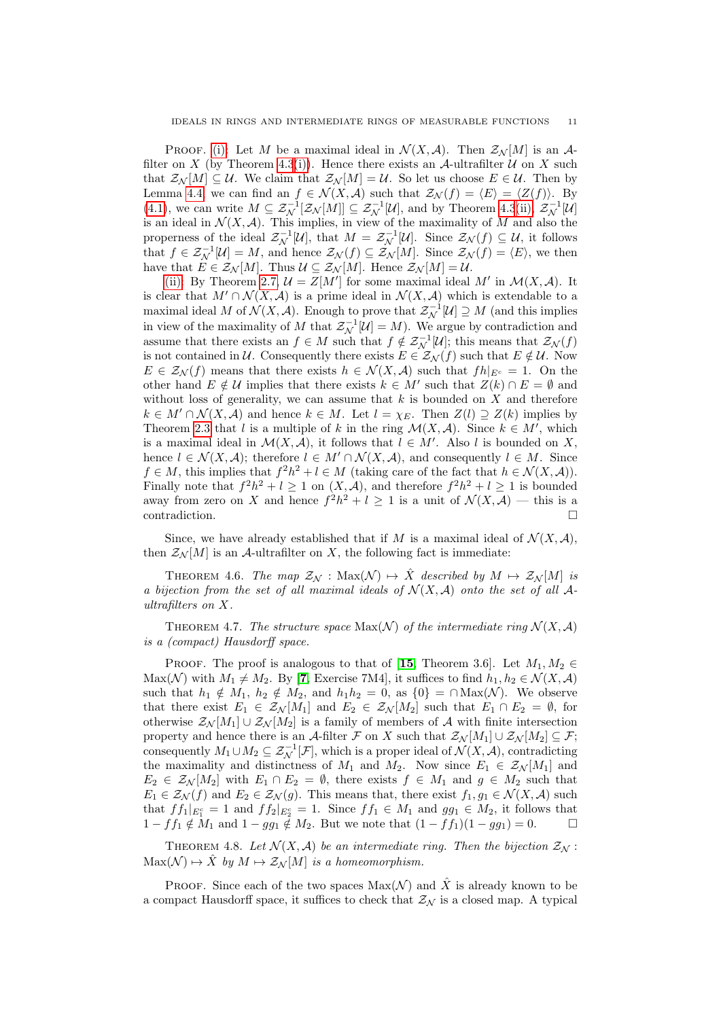PROOF. [\(i\):](#page-9-3) Let M be a maximal ideal in  $\mathcal{N}(X,\mathcal{A})$ . Then  $\mathcal{Z}_{\mathcal{N}}[M]$  is an A-filter on X (by Theorem [4.3](#page-9-1)[\(i\)\)](#page-9-4). Hence there exists an A-ultrafilter  $U$  on X such that  $\mathcal{Z}_{\mathcal{N}}[M] \subseteq \mathcal{U}$ . We claim that  $\mathcal{Z}_{\mathcal{N}}[M] = \mathcal{U}$ . So let us choose  $E \in \mathcal{U}$ . Then by Lemma [4.4,](#page-9-5) we can find an  $f \in \mathcal{N}(X,\mathcal{A})$  such that  $\mathcal{Z}_{\mathcal{N}}(f) = \langle E \rangle = \langle Z(f) \rangle$ . By [\(4.1\)](#page-9-6), we can write  $M \subseteq \mathcal{Z}_{\mathcal{N}}^{-1}[\mathcal{Z}_{\mathcal{N}}[M]] \subseteq \mathcal{Z}_{\mathcal{N}}^{-1}[\mathcal{U}]$ , and by Theorem [4.3](#page-9-1)[\(ii\),](#page-9-7)  $\mathcal{Z}_{\mathcal{N}}^{-1}[\mathcal{U}]$ is an ideal in  $\mathcal{N}(X, \mathcal{A})$ . This implies, in view of the maximality of M and also the properness of the ideal  $\mathcal{Z}_{\mathcal{N}}^{-1}[\mathcal{U}]$ , that  $M = \mathcal{Z}_{\mathcal{N}}^{-1}[\mathcal{U}]$ . Since  $\mathcal{Z}_{\mathcal{N}}(f) \subseteq \mathcal{U}$ , it follows that  $f \in \mathcal{Z}_{\mathcal{N}}^{-1}[\mathcal{U}] = M$ , and hence  $\mathcal{Z}_{\mathcal{N}}(f) \subseteq \mathcal{Z}_{\mathcal{N}}[M]$ . Since  $\mathcal{Z}_{\mathcal{N}}(f) = \langle E \rangle$ , we then have that  $E \in \mathcal{Z}_{\mathcal{N}}[M]$ . Thus  $\mathcal{U} \subseteq \mathcal{Z}_{\mathcal{N}}[M]$ . Hence  $\mathcal{Z}_{\mathcal{N}}[M] = \mathcal{U}$ .

[\(ii\):](#page-9-8) By Theorem [2.7,](#page-2-3)  $\mathcal{U} = Z[M']$  for some maximal ideal M' in  $\mathcal{M}(X, \mathcal{A})$ . It is clear that  $M' \cap \mathcal{N}(X, \mathcal{A})$  is a prime ideal in  $\mathcal{N}(X, \mathcal{A})$  which is extendable to a maximal ideal M of  $\mathcal{N}(X, \mathcal{A})$ . Enough to prove that  $\mathcal{Z}_{\mathcal{N}}^{-1}[\mathcal{U}] \supseteq M$  (and this implies in view of the maximality of M that  $\mathcal{Z}_{\mathcal{N}}^{-1}[\mathcal{U}] = M$ ). We argue by contradiction and assume that there exists an  $f \in M$  such that  $f \notin \mathcal{Z}_{\mathcal{N}}^{-1}[\mathcal{U}]$ ; this means that  $\mathcal{Z}_{\mathcal{N}}(f)$ is not contained in U. Consequently there exists  $E \in \mathcal{Z}_{\mathcal{N}}(f)$  such that  $E \notin \mathcal{U}$ . Now  $E \in \mathcal{Z}_{\mathcal{N}}(f)$  means that there exists  $h \in \mathcal{N}(X, \mathcal{A})$  such that  $fh|_{E^c} = 1$ . On the other hand  $E \notin \mathcal{U}$  implies that there exists  $k \in M'$  such that  $Z(k) \cap E = \emptyset$  and without loss of generality, we can assume that  $k$  is bounded on  $X$  and therefore  $k \in M' \cap \mathcal{N}(X, \mathcal{A})$  and hence  $k \in M$ . Let  $l = \chi_E$ . Then  $Z(l) \supseteq Z(k)$  implies by Theorem [2.3](#page-2-0) that l is a multiple of k in the ring  $\mathcal{M}(X,\mathcal{A})$ . Since  $k \in M'$ , which is a maximal ideal in  $\mathcal{M}(X,\mathcal{A})$ , it follows that  $l \in M'$ . Also l is bounded on X, hence  $l \in \mathcal{N}(X, \mathcal{A})$ ; therefore  $l \in M' \cap \mathcal{N}(X, \mathcal{A})$ , and consequently  $l \in M$ . Since  $f \in M$ , this implies that  $f^2h^2 + l \in M$  (taking care of the fact that  $h \in \mathcal{N}(X, \mathcal{A})$ ). Finally note that  $f^2h^2 + l \ge 1$  on  $(X, \mathcal{A})$ , and therefore  $f^2h^2 + l \ge 1$  is bounded away from zero on X and hence  $f^2h^2 + l \geq 1$  is a unit of  $\mathcal{N}(X,\mathcal{A})$  — this is a contradiction.

Since, we have already established that if M is a maximal ideal of  $\mathcal{N}(X,\mathcal{A})$ , then  $\mathcal{Z}_{\mathcal{N}}[M]$  is an A-ultrafilter on X, the following fact is immediate:

<span id="page-10-0"></span>THEOREM 4.6. The map  $\mathcal{Z}_{\mathcal{N}}$  :  $\text{Max}(\mathcal{N}) \mapsto \hat{X}$  described by  $M \mapsto \mathcal{Z}_{\mathcal{N}}[M]$  is a bijection from the set of all maximal ideals of  $\mathcal{N}(X,\mathcal{A})$  onto the set of all  $\mathcal{A}$ ultrafilters on X.

<span id="page-10-1"></span>THEOREM 4.7. The structure space  $Max(\mathcal{N})$  of the intermediate ring  $\mathcal{N}(X,\mathcal{A})$ is a (compact) Hausdorff space.

**PROOF.** The proof is analogous to that of [[15](#page-13-6), Theorem 3.6]. Let  $M_1, M_2 \in$ Max(N) with  $M_1 \neq M_2$ . By [[7](#page-13-9), Exercise 7M4], it suffices to find  $h_1, h_2 \in \mathcal{N}(X, \mathcal{A})$ such that  $h_1 \notin M_1$ ,  $h_2 \notin M_2$ , and  $h_1h_2 = 0$ , as  $\{0\} = \cap \text{Max}(\mathcal{N})$ . We observe that there exist  $E_1 \in \mathcal{Z}_{\mathcal{N}}[M_1]$  and  $E_2 \in \mathcal{Z}_{\mathcal{N}}[M_2]$  such that  $E_1 \cap E_2 = \emptyset$ , for otherwise  $\mathcal{Z}_{\mathcal{N}}[M_1] \cup \mathcal{Z}_{\mathcal{N}}[M_2]$  is a family of members of A with finite intersection property and hence there is an A-filter F on X such that  $\mathcal{Z}_{\mathcal{N}}[M_1] \cup \mathcal{Z}_{\mathcal{N}}[M_2] \subseteq \mathcal{F};$ consequently  $M_1 \cup M_2 \subseteq \mathcal{Z}_{\mathcal{N}}^{-1}[\mathcal{F}]$ , which is a proper ideal of  $\mathcal{N}(X, \mathcal{A})$ , contradicting the maximality and distinctness of  $M_1$  and  $M_2$ . Now since  $E_1 \in \mathcal{Z}_{\mathcal{N}}[M_1]$  and  $E_2 \in \mathcal{Z}_{\mathcal{N}}[M_2]$  with  $E_1 \cap E_2 = \emptyset$ , there exists  $f \in M_1$  and  $g \in M_2$  such that  $E_1 \in \mathcal{Z}_{\mathcal{N}}(f)$  and  $E_2 \in \mathcal{Z}_{\mathcal{N}}(g)$ . This means that, there exist  $f_1, g_1 \in \mathcal{N}(X, \mathcal{A})$  such that  $ff_1|_{E_1^c} = 1$  and  $ff_2|_{E_2^c} = 1$ . Since  $ff_1 \in M_1$  and  $gg_1 \in M_2$ , it follows that  $1 - ff_1 \notin M_1$  and  $1 - gg_1 \notin M_2$ . But we note that  $(1 - ff_1)(1 - gg_1) = 0$ .  $\Box$ 

<span id="page-10-2"></span>THEOREM 4.8. Let  $\mathcal{N}(X,\mathcal{A})$  be an intermediate ring. Then the bijection  $\mathcal{Z}_{\mathcal{N}}$ :  $\text{Max}(\mathcal{N}) \mapsto \hat{X}$  by  $M \mapsto \mathcal{Z}_{\mathcal{N}}[M]$  is a homeomorphism.

**PROOF.** Since each of the two spaces  $Max(\mathcal{N})$  and  $\hat{X}$  is already known to be a compact Hausdorff space, it suffices to check that  $\mathcal{Z}_{\mathcal{N}}$  is a closed map. A typical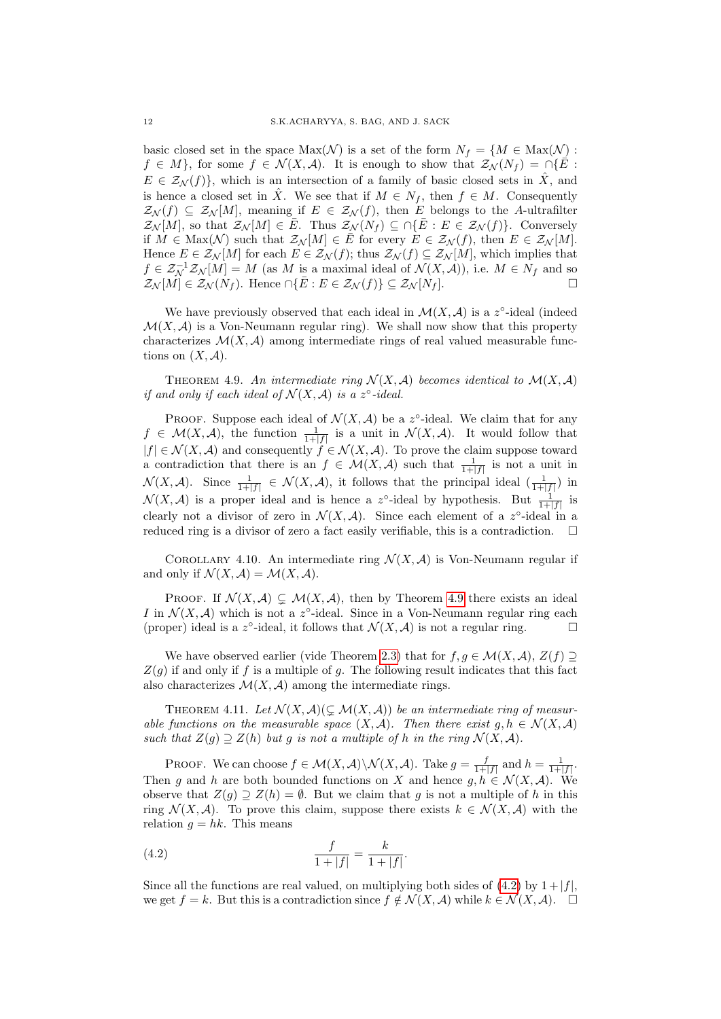basic closed set in the space  $\text{Max}(\mathcal{N})$  is a set of the form  $N_f = \{M \in \text{Max}(\mathcal{N}) :$  $f \in M$ , for some  $f \in \mathcal{N}(X,\mathcal{A})$ . It is enough to show that  $\mathcal{Z}_{\mathcal{N}}(N_f) = \bigcap \{E :$  $E \in \mathcal{Z}_\mathcal{N}(f)$ , which is an intersection of a family of basic closed sets in  $\hat{X}$ , and is hence a closed set in  $\hat{X}$ . We see that if  $M \in N_f$ , then  $f \in M$ . Consequently  $\mathcal{Z}_{\mathcal{N}}(f) \subseteq \mathcal{Z}_{\mathcal{N}}[M]$ , meaning if  $E \in \mathcal{Z}_{\mathcal{N}}(f)$ , then E belongs to the A-ultrafilter  $\mathcal{Z}_{\mathcal{N}}[M]$ , so that  $\mathcal{Z}_{\mathcal{N}}[M] \in \overline{E}$ . Thus  $\mathcal{Z}_{\mathcal{N}}(N_f) \subseteq \bigcap \{\overline{E} : E \in \mathcal{Z}_{\mathcal{N}}(f)\}\$ . Conversely if  $M \in \text{Max}(\mathcal{N})$  such that  $\mathcal{Z}_{\mathcal{N}}[M] \in \overline{E}$  for every  $E \in \mathcal{Z}_{\mathcal{N}}(f)$ , then  $E \in \mathcal{Z}_{\mathcal{N}}[M]$ . Hence  $E \in \mathcal{Z}_{\mathcal{N}}[M]$  for each  $E \in \mathcal{Z}_{\mathcal{N}}(f)$ ; thus  $\mathcal{Z}_{\mathcal{N}}(f) \subseteq \mathcal{Z}_{\mathcal{N}}[M]$ , which implies that  $f \in \mathcal{Z}_{\mathcal{N}}^{-1}\mathcal{Z}_{\mathcal{N}}[M] = M$  (as M is a maximal ideal of  $\mathcal{N}(X,\mathcal{A}))$ , i.e.  $M \in N_f$  and so  $\mathcal{Z}_{\mathcal{N}}[M] \in \mathcal{Z}_{\mathcal{N}}(N_f)$ . Hence  $\cap \{\overline{E} : E \in \mathcal{Z}_{\mathcal{N}}(f)\} \subseteq \mathcal{Z}_{\mathcal{N}}[N_f]$ .

We have previously observed that each ideal in  $\mathcal{M}(X,\mathcal{A})$  is a z<sup>o</sup>-ideal (indeed  $\mathcal{M}(X,\mathcal{A})$  is a Von-Neumann regular ring). We shall now show that this property characterizes  $\mathcal{M}(X, \mathcal{A})$  among intermediate rings of real valued measurable functions on  $(X, \mathcal{A})$ .

<span id="page-11-0"></span>THEOREM 4.9. An intermediate ring  $\mathcal{N}(X, \mathcal{A})$  becomes identical to  $\mathcal{M}(X, \mathcal{A})$ if and only if each ideal of  $\mathcal{N}(X, \mathcal{A})$  is a z°-ideal.

PROOF. Suppose each ideal of  $\mathcal{N}(X,\mathcal{A})$  be a z°-ideal. We claim that for any  $f \in \mathcal{M}(X, \mathcal{A})$ , the function  $\frac{1}{1+|f|}$  is a unit in  $\mathcal{N}(X, \mathcal{A})$ . It would follow that  $|f| \in \mathcal{N}(X, \mathcal{A})$  and consequently  $f \in \mathcal{N}(X, \mathcal{A})$ . To prove the claim suppose toward a contradiction that there is an  $f \in \mathcal{M}(X,\mathcal{A})$  such that  $\frac{1}{1+|f|}$  is not a unit in  $\mathcal{N}(X, \mathcal{A})$ . Since  $\frac{1}{1+|f|} \in \mathcal{N}(X, \mathcal{A})$ , it follows that the principal ideal  $\left(\frac{1}{1+|f|}\right)$  in  $\mathcal{N}(X,\mathcal{A})$  is a proper ideal and is hence a z°-ideal by hypothesis. But  $\frac{1}{1+|f|}$  is clearly not a divisor of zero in  $\mathcal{N}(X,\mathcal{A})$ . Since each element of a z°-ideal in a reduced ring is a divisor of zero a fact easily verifiable, this is a contradiction.  $\Box$ 

<span id="page-11-1"></span>COROLLARY 4.10. An intermediate ring  $\mathcal{N}(X,\mathcal{A})$  is Von-Neumann regular if and only if  $\mathcal{N}(X, \mathcal{A}) = \mathcal{M}(X, \mathcal{A}).$ 

PROOF. If  $\mathcal{N}(X, \mathcal{A}) \subsetneq \mathcal{M}(X, \mathcal{A})$ , then by Theorem [4.9](#page-11-0) there exists an ideal I in  $\mathcal{N}(X,\mathcal{A})$  which is not a z°-ideal. Since in a Von-Neumann regular ring each (proper) ideal is a z°-ideal, it follows that  $\mathcal{N}(X,\mathcal{A})$  is not a regular ring.

We have observed earlier (vide Theorem [2.3\)](#page-2-0) that for  $f, g \in \mathcal{M}(X, \mathcal{A}), Z(f) \supset$  $Z(q)$  if and only if f is a multiple of q. The following result indicates that this fact also characterizes  $\mathcal{M}(X, \mathcal{A})$  among the intermediate rings.

<span id="page-11-2"></span>THEOREM 4.11. Let  $\mathcal{N}(X, \mathcal{A})(\subsetneq \mathcal{M}(X, \mathcal{A}))$  be an intermediate ring of measurable functions on the measurable space  $(X, \mathcal{A})$ . Then there exist  $g, h \in \mathcal{N}(X, \mathcal{A})$ such that  $Z(g) \supseteq Z(h)$  but g is not a multiple of h in the ring  $\mathcal{N}(X, \mathcal{A})$ .

PROOF. We can choose  $f \in \mathcal{M}(X,\mathcal{A}) \backslash \mathcal{N}(X,\mathcal{A})$ . Take  $g = \frac{f}{1+|f|}$  and  $h = \frac{1}{1+|f|}$ . Then g and h are both bounded functions on X and hence  $g, h \in \mathcal{N}(X, \mathcal{A})$ . We observe that  $Z(q) \supseteq Z(h) = \emptyset$ . But we claim that q is not a multiple of h in this ring  $\mathcal{N}(X, \mathcal{A})$ . To prove this claim, suppose there exists  $k \in \mathcal{N}(X, \mathcal{A})$  with the relation  $g = hk$ . This means

<span id="page-11-3"></span>(4.2) 
$$
\frac{f}{1+|f|} = \frac{k}{1+|f|}.
$$

Since all the functions are real valued, on multiplying both sides of [\(4.2\)](#page-11-3) by  $1 + |f|$ . we get  $f = k$ . But this is a contradiction since  $f \notin \mathcal{N}(X, \mathcal{A})$  while  $k \in \mathcal{N}(X, \mathcal{A})$ .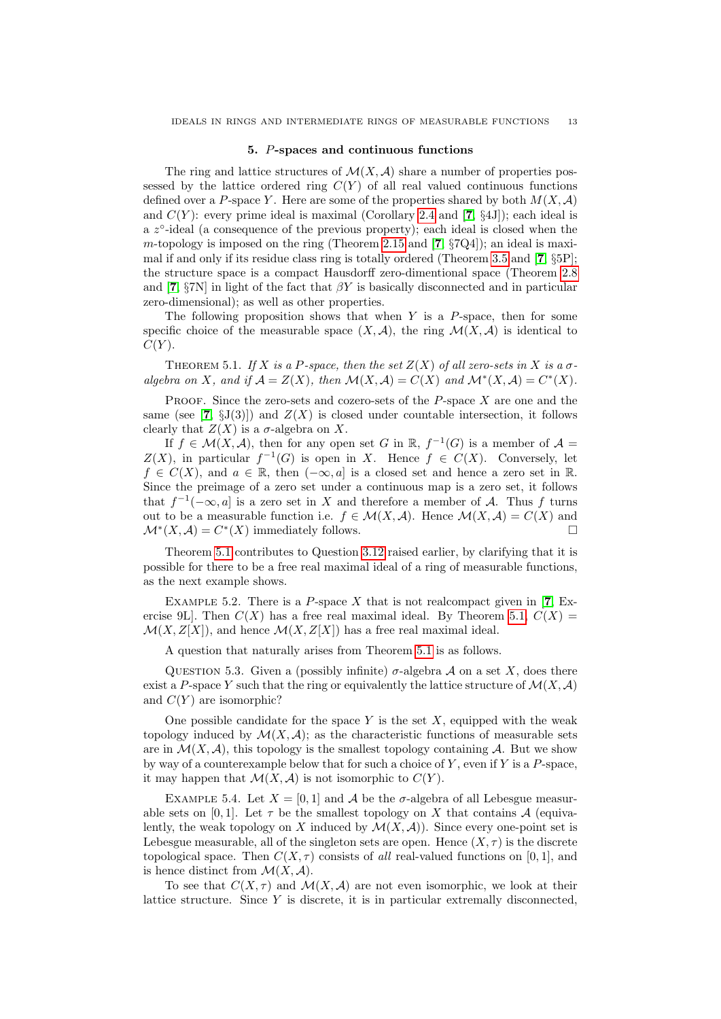## 5. P-spaces and continuous functions

<span id="page-12-0"></span>The ring and lattice structures of  $\mathcal{M}(X,\mathcal{A})$  share a number of properties possessed by the lattice ordered ring  $C(Y)$  of all real valued continuous functions defined over a P-space Y. Here are some of the properties shared by both  $M(X, \mathcal{A})$ and  $C(Y)$ : every prime ideal is maximal (Corollary [2.4](#page-2-2) and [[7](#page-13-9), §4J]); each ideal is a z<sup>o</sup>-ideal (a consequence of the previous property); each ideal is closed when the m-topology is imposed on the ring (Theorem [2.15](#page-5-0) and  $[7, \S{7}Q4]$  $[7, \S{7}Q4]$  $[7, \S{7}Q4]$ ); an ideal is maximal if and only if its residue class ring is totally ordered (Theorem [3.5](#page-7-0) and [[7](#page-13-9), §5P]; the structure space is a compact Hausdorff zero-dimentional space (Theorem [2.8](#page-3-0) and [[7](#page-13-9),  $\S7N$ ] in light of the fact that  $\beta Y$  is basically disconnected and in particular zero-dimensional); as well as other properties.

The following proposition shows that when  $Y$  is a  $P$ -space, then for some specific choice of the measurable space  $(X, \mathcal{A})$ , the ring  $\mathcal{M}(X, \mathcal{A})$  is identical to  $C(Y)$ .

<span id="page-12-2"></span>THEOREM 5.1. If X is a P-space, then the set  $Z(X)$  of all zero-sets in X is a  $\sigma$ algebra on X, and if  $\mathcal{A} = Z(X)$ , then  $\mathcal{M}(X,\mathcal{A}) = C(X)$  and  $\mathcal{M}^*(X,\mathcal{A}) = C^*(X)$ .

**PROOF.** Since the zero-sets and cozero-sets of the  $P$ -space  $X$  are one and the same (see [[7](#page-13-9),  $\S(33)$ ]) and  $Z(X)$  is closed under countable intersection, it follows clearly that  $Z(X)$  is a  $\sigma$ -algebra on X.

If  $f \in \mathcal{M}(X,\mathcal{A})$ , then for any open set G in  $\mathbb{R}, f^{-1}(G)$  is a member of  $\mathcal{A} =$  $Z(X)$ , in particular  $f^{-1}(G)$  is open in X. Hence  $f \in C(X)$ . Conversely, let  $f \in C(X)$ , and  $a \in \mathbb{R}$ , then  $(-\infty, a]$  is a closed set and hence a zero set in  $\mathbb{R}$ . Since the preimage of a zero set under a continuous map is a zero set, it follows that  $f^{-1}(-\infty, a]$  is a zero set in X and therefore a member of A. Thus f turns out to be a measurable function i.e.  $f \in \mathcal{M}(X,\mathcal{A})$ . Hence  $\mathcal{M}(X,\mathcal{A}) = C(X)$  and  $\mathcal{M}^*(X,\mathcal{A}) = C^*(X)$  immediately follows.

Theorem [5.1](#page-12-2) contributes to Question [3.12](#page-9-9) raised earlier, by clarifying that it is possible for there to be a free real maximal ideal of a ring of measurable functions, as the next example shows.

<span id="page-12-1"></span>EXAMPLE 5.2. There is a  $P$ -space  $X$  that is not realcompact given in [[7](#page-13-9), Exercise 9L. Then  $C(X)$  has a free real maximal ideal. By Theorem [5.1,](#page-12-2)  $C(X)$  $\mathcal{M}(X, Z[X])$ , and hence  $\mathcal{M}(X, Z[X])$  has a free real maximal ideal.

A question that naturally arises from Theorem [5.1](#page-12-2) is as follows.

QUESTION 5.3. Given a (possibly infinite)  $\sigma$ -algebra A on a set X, does there exist a P-space Y such that the ring or equivalently the lattice structure of  $\mathcal{M}(X, \mathcal{A})$ and  $C(Y)$  are isomorphic?

One possible candidate for the space  $Y$  is the set  $X$ , equipped with the weak topology induced by  $\mathcal{M}(X,\mathcal{A});$  as the characteristic functions of measurable sets are in  $\mathcal{M}(X,\mathcal{A})$ , this topology is the smallest topology containing  $\mathcal{A}$ . But we show by way of a counterexample below that for such a choice of  $Y$ , even if  $Y$  is a  $P$ -space. it may happen that  $\mathcal{M}(X, \mathcal{A})$  is not isomorphic to  $C(Y)$ .

EXAMPLE 5.4. Let  $X = [0, 1]$  and A be the  $\sigma$ -algebra of all Lebesgue measurable sets on [0,1]. Let  $\tau$  be the smallest topology on X that contains A (equivalently, the weak topology on X induced by  $\mathcal{M}(X,\mathcal{A})$ . Since every one-point set is Lebesgue measurable, all of the singleton sets are open. Hence  $(X, \tau)$  is the discrete topological space. Then  $C(X, \tau)$  consists of all real-valued functions on [0, 1], and is hence distinct from  $\mathcal{M}(X,\mathcal{A})$ .

To see that  $C(X, \tau)$  and  $\mathcal{M}(X, \mathcal{A})$  are not even isomorphic, we look at their lattice structure. Since  $Y$  is discrete, it is in particular extremally disconnected,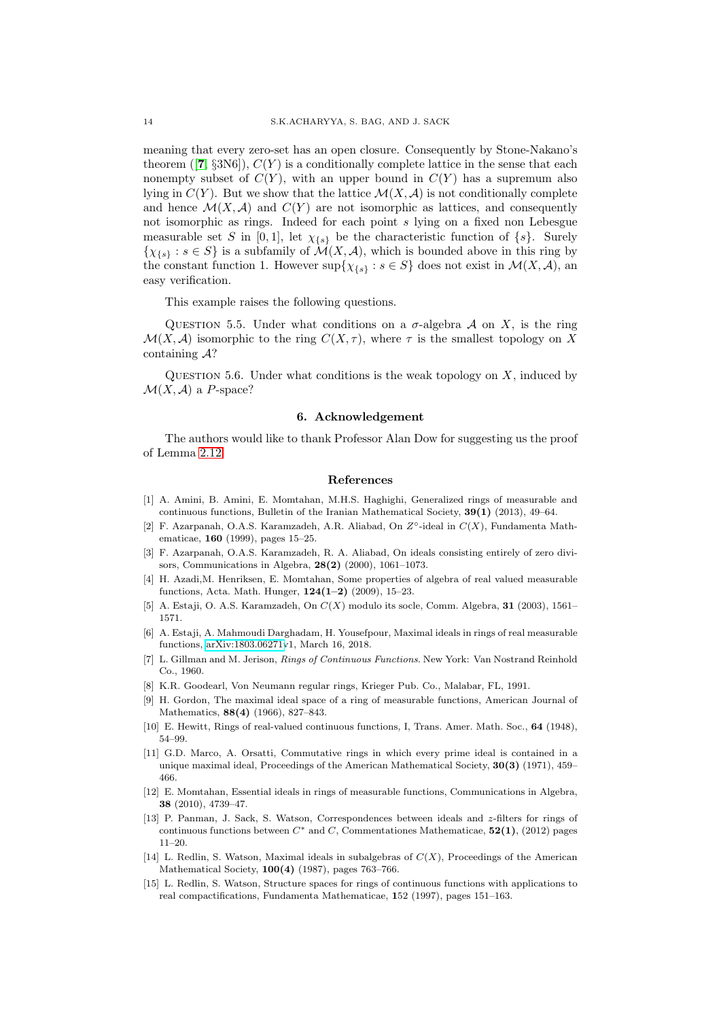meaning that every zero-set has an open closure. Consequently by Stone-Nakano's theorem ([[7](#page-13-9),  $\S3N6$ ]),  $C(Y)$  is a conditionally complete lattice in the sense that each nonempty subset of  $C(Y)$ , with an upper bound in  $C(Y)$  has a supremum also lying in  $C(Y)$ . But we show that the lattice  $\mathcal{M}(X, \mathcal{A})$  is not conditionally complete and hence  $\mathcal{M}(X,\mathcal{A})$  and  $C(Y)$  are not isomorphic as lattices, and consequently not isomorphic as rings. Indeed for each point s lying on a fixed non Lebesgue measurable set S in [0, 1], let  $\chi_{\{s\}}$  be the characteristic function of  $\{s\}$ . Surely  $\{\chi_{\{s\}} : s \in S\}$  is a subfamily of  $\mathcal{M}(X, \mathcal{A})$ , which is bounded above in this ring by the constant function 1. However  $\sup\{\chi_{\{s\}} : s \in S\}$  does not exist in  $\mathcal{M}(X,\mathcal{A})$ , an easy verification.

This example raises the following questions.

QUESTION 5.5. Under what conditions on a  $\sigma$ -algebra A on X, is the ring  $\mathcal{M}(X, \mathcal{A})$  isomorphic to the ring  $C(X, \tau)$ , where  $\tau$  is the smallest topology on X containing A?

QUESTION 5.6. Under what conditions is the weak topology on  $X$ , induced by  $\mathcal{M}(X, \mathcal{A})$  a P-space?

#### 6. Acknowledgement

The authors would like to thank Professor Alan Dow for suggesting us the proof of Lemma [2.12.](#page-4-3)

## References

- <span id="page-13-2"></span>[1] A. Amini, B. Amini, E. Momtahan, M.H.S. Haghighi, Generalized rings of measurable and continuous functions, Bulletin of the Iranian Mathematical Society, 39(1) (2013), 49–64.
- [2] F. Azarpanah, O.A.S. Karamzadeh, A.R. Aliabad, On  $Z^{\circ}$ -ideal in  $C(X)$ , Fundamenta Mathematicae, 160 (1999), pages 15–25.
- <span id="page-13-7"></span>[3] F. Azarpanah, O.A.S. Karamzadeh, R. A. Aliabad, On ideals consisting entirely of zero divisors, Communications in Algebra, 28(2) (2000), 1061–1073.
- <span id="page-13-0"></span>[4] H. Azadi,M. Henriksen, E. Momtahan, Some properties of algebra of real valued measurable functions, Acta. Math. Hunger, 124(1–2) (2009), 15–23.
- [5] A. Estaji, O. A.S. Karamzadeh, On  $C(X)$  modulo its socle, Comm. Algebra, 31 (2003), 1561– 1571.
- <span id="page-13-3"></span>[6] A. Estaji, A. Mahmoudi Darghadam, H. Yousefpour, Maximal ideals in rings of real measurable functions, [arXiv:1803.06271v](http://arxiv.org/abs/1803.06271)1, March 16, 2018.
- <span id="page-13-9"></span>[7] L. Gillman and M. Jerison, Rings of Continuous Functions. New York: Van Nostrand Reinhold Co., 1960.
- <span id="page-13-8"></span>[8] K.R. Goodearl, Von Neumann regular rings, Krieger Pub. Co., Malabar, FL, 1991.
- <span id="page-13-1"></span>[9] H. Gordon, The maximal ideal space of a ring of measurable functions, American Journal of Mathematics, **88(4)** (1966), 827–843.
- <span id="page-13-11"></span>[10] E. Hewitt, Rings of real-valued continuous functions, I, Trans. Amer. Math. Soc., 64 (1948), 54–99.
- <span id="page-13-10"></span>[11] G.D. Marco, A. Orsatti, Commutative rings in which every prime ideal is contained in a unique maximal ideal, Proceedings of the American Mathematical Society, 30(3) (1971), 459– 466.
- [12] E. Momtahan, Essential ideals in rings of measurable functions, Communications in Algebra, 38 (2010), 4739–47.
- <span id="page-13-4"></span>[13] P. Panman, J. Sack, S. Watson, Correspondences between ideals and z-filters for rings of continuous functions between  $C^*$  and C, Commentationes Mathematicae, 52(1), (2012) pages 11–20.
- <span id="page-13-5"></span>[14] L. Redlin, S. Watson, Maximal ideals in subalgebras of  $C(X)$ , Proceedings of the American Mathematical Society, 100(4) (1987), pages 763–766.
- <span id="page-13-6"></span>[15] L. Redlin, S. Watson, Structure spaces for rings of continuous functions with applications to real compactifications, Fundamenta Mathematicae, 152 (1997), pages 151–163.